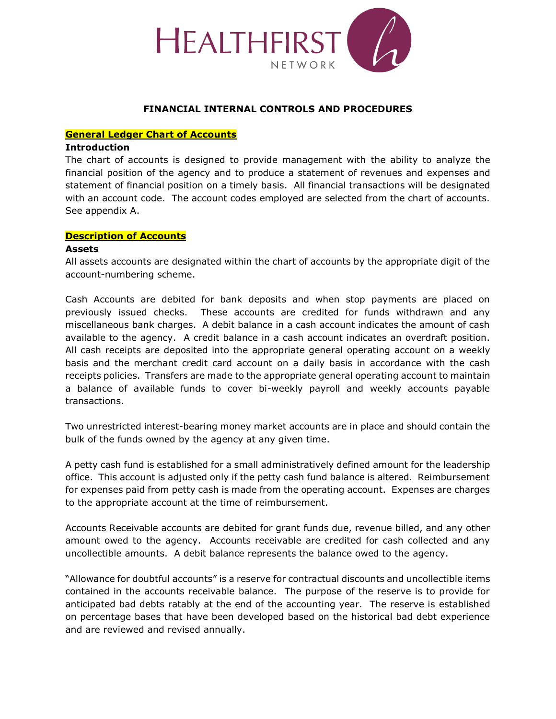

#### **FINANCIAL INTERNAL CONTROLS AND PROCEDURES**

#### **General Ledger Chart of Accounts**

#### **Introduction**

The chart of accounts is designed to provide management with the ability to analyze the financial position of the agency and to produce a statement of revenues and expenses and statement of financial position on a timely basis. All financial transactions will be designated with an account code. The account codes employed are selected from the chart of accounts. See appendix A.

#### **Description of Accounts**

#### **Assets**

All assets accounts are designated within the chart of accounts by the appropriate digit of the account-numbering scheme.

Cash Accounts are debited for bank deposits and when stop payments are placed on previously issued checks. These accounts are credited for funds withdrawn and any miscellaneous bank charges. A debit balance in a cash account indicates the amount of cash available to the agency. A credit balance in a cash account indicates an overdraft position. All cash receipts are deposited into the appropriate general operating account on a weekly basis and the merchant credit card account on a daily basis in accordance with the cash receipts policies. Transfers are made to the appropriate general operating account to maintain a balance of available funds to cover bi-weekly payroll and weekly accounts payable transactions.

Two unrestricted interest-bearing money market accounts are in place and should contain the bulk of the funds owned by the agency at any given time.

A petty cash fund is established for a small administratively defined amount for the leadership office. This account is adjusted only if the petty cash fund balance is altered. Reimbursement for expenses paid from petty cash is made from the operating account. Expenses are charges to the appropriate account at the time of reimbursement.

Accounts Receivable accounts are debited for grant funds due, revenue billed, and any other amount owed to the agency. Accounts receivable are credited for cash collected and any uncollectible amounts. A debit balance represents the balance owed to the agency.

"Allowance for doubtful accounts" is a reserve for contractual discounts and uncollectible items contained in the accounts receivable balance. The purpose of the reserve is to provide for anticipated bad debts ratably at the end of the accounting year. The reserve is established on percentage bases that have been developed based on the historical bad debt experience and are reviewed and revised annually.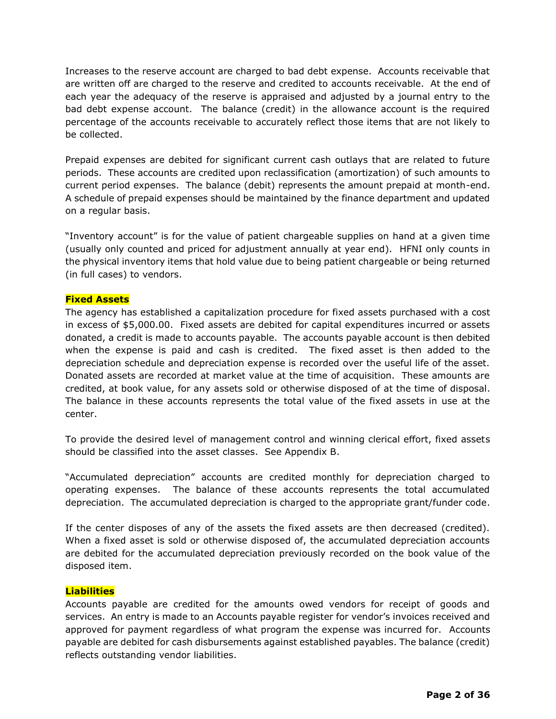Increases to the reserve account are charged to bad debt expense. Accounts receivable that are written off are charged to the reserve and credited to accounts receivable. At the end of each year the adequacy of the reserve is appraised and adjusted by a journal entry to the bad debt expense account. The balance (credit) in the allowance account is the required percentage of the accounts receivable to accurately reflect those items that are not likely to be collected.

Prepaid expenses are debited for significant current cash outlays that are related to future periods. These accounts are credited upon reclassification (amortization) of such amounts to current period expenses. The balance (debit) represents the amount prepaid at month-end. A schedule of prepaid expenses should be maintained by the finance department and updated on a regular basis.

"Inventory account" is for the value of patient chargeable supplies on hand at a given time (usually only counted and priced for adjustment annually at year end). HFNI only counts in the physical inventory items that hold value due to being patient chargeable or being returned (in full cases) to vendors.

#### **Fixed Assets**

The agency has established a capitalization procedure for fixed assets purchased with a cost in excess of \$5,000.00. Fixed assets are debited for capital expenditures incurred or assets donated, a credit is made to accounts payable. The accounts payable account is then debited when the expense is paid and cash is credited. The fixed asset is then added to the depreciation schedule and depreciation expense is recorded over the useful life of the asset. Donated assets are recorded at market value at the time of acquisition. These amounts are credited, at book value, for any assets sold or otherwise disposed of at the time of disposal. The balance in these accounts represents the total value of the fixed assets in use at the center.

To provide the desired level of management control and winning clerical effort, fixed assets should be classified into the asset classes. See Appendix B.

"Accumulated depreciation" accounts are credited monthly for depreciation charged to operating expenses. The balance of these accounts represents the total accumulated depreciation. The accumulated depreciation is charged to the appropriate grant/funder code.

If the center disposes of any of the assets the fixed assets are then decreased (credited). When a fixed asset is sold or otherwise disposed of, the accumulated depreciation accounts are debited for the accumulated depreciation previously recorded on the book value of the disposed item.

#### **Liabilities**

Accounts payable are credited for the amounts owed vendors for receipt of goods and services. An entry is made to an Accounts payable register for vendor's invoices received and approved for payment regardless of what program the expense was incurred for. Accounts payable are debited for cash disbursements against established payables. The balance (credit) reflects outstanding vendor liabilities.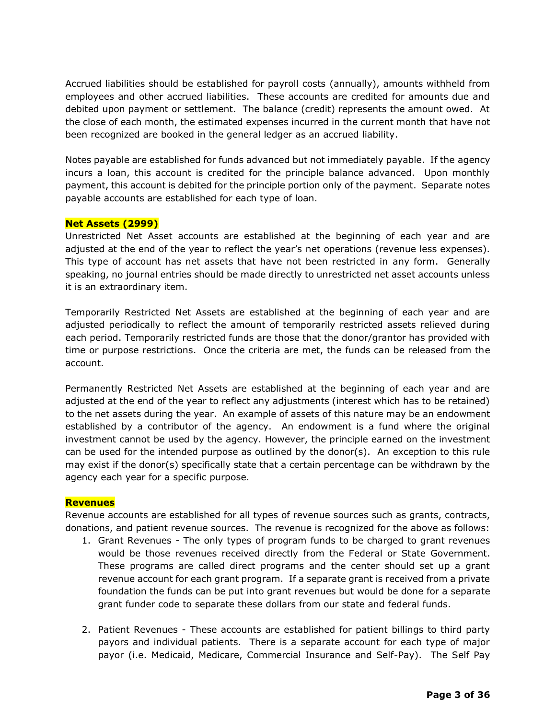Accrued liabilities should be established for payroll costs (annually), amounts withheld from employees and other accrued liabilities. These accounts are credited for amounts due and debited upon payment or settlement. The balance (credit) represents the amount owed. At the close of each month, the estimated expenses incurred in the current month that have not been recognized are booked in the general ledger as an accrued liability.

Notes payable are established for funds advanced but not immediately payable. If the agency incurs a loan, this account is credited for the principle balance advanced. Upon monthly payment, this account is debited for the principle portion only of the payment. Separate notes payable accounts are established for each type of loan.

#### **Net Assets (2999)**

Unrestricted Net Asset accounts are established at the beginning of each year and are adjusted at the end of the year to reflect the year's net operations (revenue less expenses). This type of account has net assets that have not been restricted in any form. Generally speaking, no journal entries should be made directly to unrestricted net asset accounts unless it is an extraordinary item.

Temporarily Restricted Net Assets are established at the beginning of each year and are adjusted periodically to reflect the amount of temporarily restricted assets relieved during each period. Temporarily restricted funds are those that the donor/grantor has provided with time or purpose restrictions. Once the criteria are met, the funds can be released from the account.

Permanently Restricted Net Assets are established at the beginning of each year and are adjusted at the end of the year to reflect any adjustments (interest which has to be retained) to the net assets during the year. An example of assets of this nature may be an endowment established by a contributor of the agency. An endowment is a fund where the original investment cannot be used by the agency. However, the principle earned on the investment can be used for the intended purpose as outlined by the donor(s). An exception to this rule may exist if the donor(s) specifically state that a certain percentage can be withdrawn by the agency each year for a specific purpose.

#### **Revenues**

Revenue accounts are established for all types of revenue sources such as grants, contracts, donations, and patient revenue sources. The revenue is recognized for the above as follows:

- 1. Grant Revenues The only types of program funds to be charged to grant revenues would be those revenues received directly from the Federal or State Government. These programs are called direct programs and the center should set up a grant revenue account for each grant program. If a separate grant is received from a private foundation the funds can be put into grant revenues but would be done for a separate grant funder code to separate these dollars from our state and federal funds.
- 2. Patient Revenues These accounts are established for patient billings to third party payors and individual patients. There is a separate account for each type of major payor (i.e. Medicaid, Medicare, Commercial Insurance and Self-Pay). The Self Pay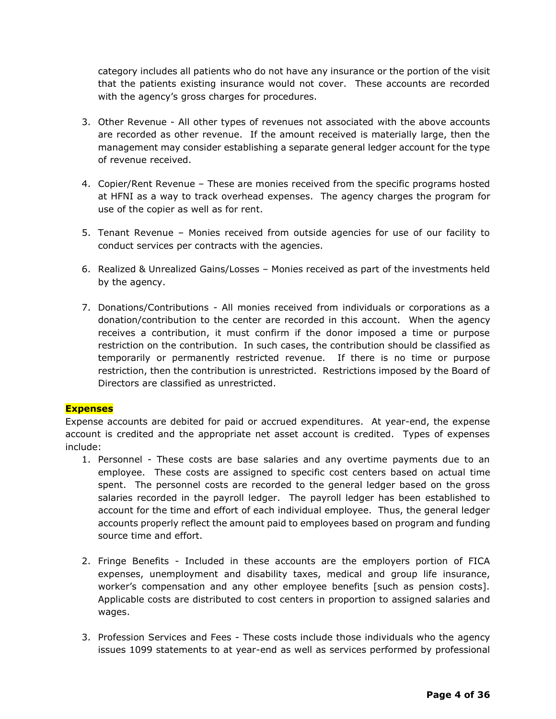category includes all patients who do not have any insurance or the portion of the visit that the patients existing insurance would not cover. These accounts are recorded with the agency's gross charges for procedures.

- 3. Other Revenue All other types of revenues not associated with the above accounts are recorded as other revenue. If the amount received is materially large, then the management may consider establishing a separate general ledger account for the type of revenue received.
- 4. Copier/Rent Revenue These are monies received from the specific programs hosted at HFNI as a way to track overhead expenses. The agency charges the program for use of the copier as well as for rent.
- 5. Tenant Revenue Monies received from outside agencies for use of our facility to conduct services per contracts with the agencies.
- 6. Realized & Unrealized Gains/Losses Monies received as part of the investments held by the agency.
- 7. Donations/Contributions All monies received from individuals or corporations as a donation/contribution to the center are recorded in this account. When the agency receives a contribution, it must confirm if the donor imposed a time or purpose restriction on the contribution. In such cases, the contribution should be classified as temporarily or permanently restricted revenue. If there is no time or purpose restriction, then the contribution is unrestricted. Restrictions imposed by the Board of Directors are classified as unrestricted.

#### **Expenses**

Expense accounts are debited for paid or accrued expenditures. At year-end, the expense account is credited and the appropriate net asset account is credited. Types of expenses include:

- 1. Personnel These costs are base salaries and any overtime payments due to an employee. These costs are assigned to specific cost centers based on actual time spent. The personnel costs are recorded to the general ledger based on the gross salaries recorded in the payroll ledger. The payroll ledger has been established to account for the time and effort of each individual employee. Thus, the general ledger accounts properly reflect the amount paid to employees based on program and funding source time and effort.
- 2. Fringe Benefits Included in these accounts are the employers portion of FICA expenses, unemployment and disability taxes, medical and group life insurance, worker's compensation and any other employee benefits [such as pension costs]. Applicable costs are distributed to cost centers in proportion to assigned salaries and wages.
- 3. Profession Services and Fees These costs include those individuals who the agency issues 1099 statements to at year-end as well as services performed by professional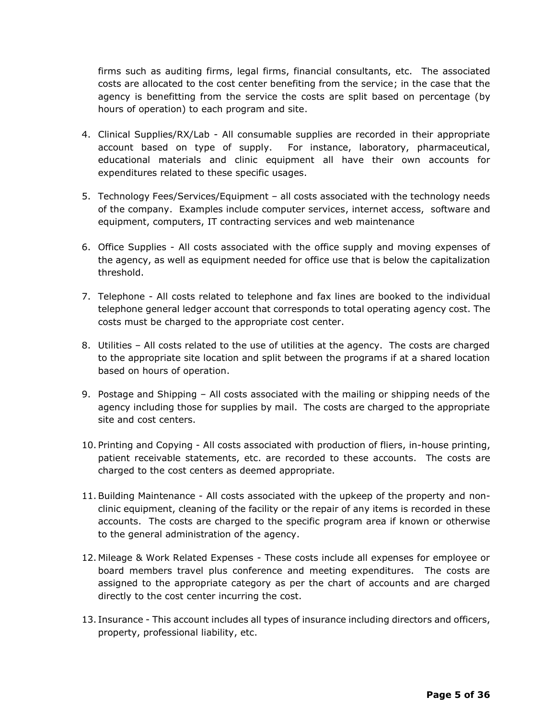firms such as auditing firms, legal firms, financial consultants, etc. The associated costs are allocated to the cost center benefiting from the service; in the case that the agency is benefitting from the service the costs are split based on percentage (by hours of operation) to each program and site.

- 4. Clinical Supplies/RX/Lab All consumable supplies are recorded in their appropriate account based on type of supply. For instance, laboratory, pharmaceutical, educational materials and clinic equipment all have their own accounts for expenditures related to these specific usages.
- 5. Technology Fees/Services/Equipment all costs associated with the technology needs of the company. Examples include computer services, internet access, software and equipment, computers, IT contracting services and web maintenance
- 6. Office Supplies All costs associated with the office supply and moving expenses of the agency, as well as equipment needed for office use that is below the capitalization threshold.
- 7. Telephone All costs related to telephone and fax lines are booked to the individual telephone general ledger account that corresponds to total operating agency cost. The costs must be charged to the appropriate cost center.
- 8. Utilities All costs related to the use of utilities at the agency. The costs are charged to the appropriate site location and split between the programs if at a shared location based on hours of operation.
- 9. Postage and Shipping All costs associated with the mailing or shipping needs of the agency including those for supplies by mail. The costs are charged to the appropriate site and cost centers.
- 10. Printing and Copying All costs associated with production of fliers, in-house printing, patient receivable statements, etc. are recorded to these accounts. The costs are charged to the cost centers as deemed appropriate.
- 11.Building Maintenance All costs associated with the upkeep of the property and nonclinic equipment, cleaning of the facility or the repair of any items is recorded in these accounts. The costs are charged to the specific program area if known or otherwise to the general administration of the agency.
- 12. Mileage & Work Related Expenses These costs include all expenses for employee or board members travel plus conference and meeting expenditures. The costs are assigned to the appropriate category as per the chart of accounts and are charged directly to the cost center incurring the cost.
- 13. Insurance This account includes all types of insurance including directors and officers, property, professional liability, etc.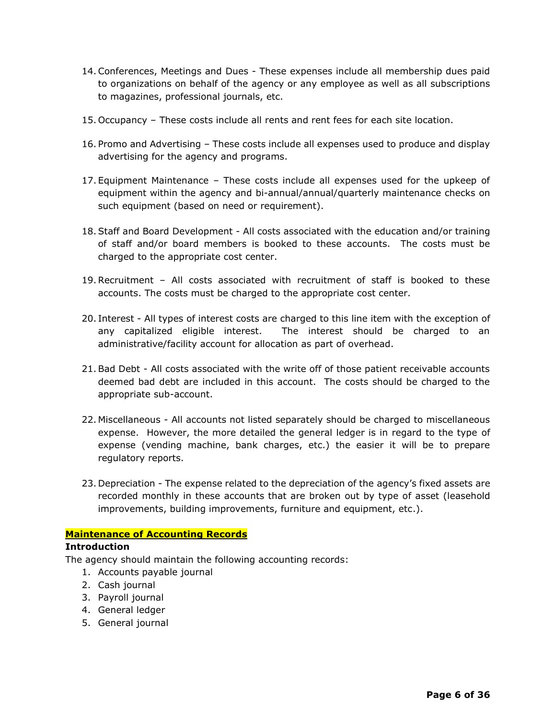- 14.Conferences, Meetings and Dues These expenses include all membership dues paid to organizations on behalf of the agency or any employee as well as all subscriptions to magazines, professional journals, etc.
- 15. Occupancy These costs include all rents and rent fees for each site location.
- 16. Promo and Advertising These costs include all expenses used to produce and display advertising for the agency and programs.
- 17. Equipment Maintenance These costs include all expenses used for the upkeep of equipment within the agency and bi-annual/annual/quarterly maintenance checks on such equipment (based on need or requirement).
- 18.Staff and Board Development All costs associated with the education and/or training of staff and/or board members is booked to these accounts. The costs must be charged to the appropriate cost center.
- 19.Recruitment All costs associated with recruitment of staff is booked to these accounts. The costs must be charged to the appropriate cost center.
- 20. Interest All types of interest costs are charged to this line item with the exception of any capitalized eligible interest. The interest should be charged to an administrative/facility account for allocation as part of overhead.
- 21.Bad Debt All costs associated with the write off of those patient receivable accounts deemed bad debt are included in this account. The costs should be charged to the appropriate sub-account.
- 22. Miscellaneous All accounts not listed separately should be charged to miscellaneous expense. However, the more detailed the general ledger is in regard to the type of expense (vending machine, bank charges, etc.) the easier it will be to prepare regulatory reports.
- 23. Depreciation The expense related to the depreciation of the agency's fixed assets are recorded monthly in these accounts that are broken out by type of asset (leasehold improvements, building improvements, furniture and equipment, etc.).

#### **Maintenance of Accounting Records**

#### **Introduction**

The agency should maintain the following accounting records:

- 1. Accounts payable journal
- 2. Cash journal
- 3. Payroll journal
- 4. General ledger
- 5. General journal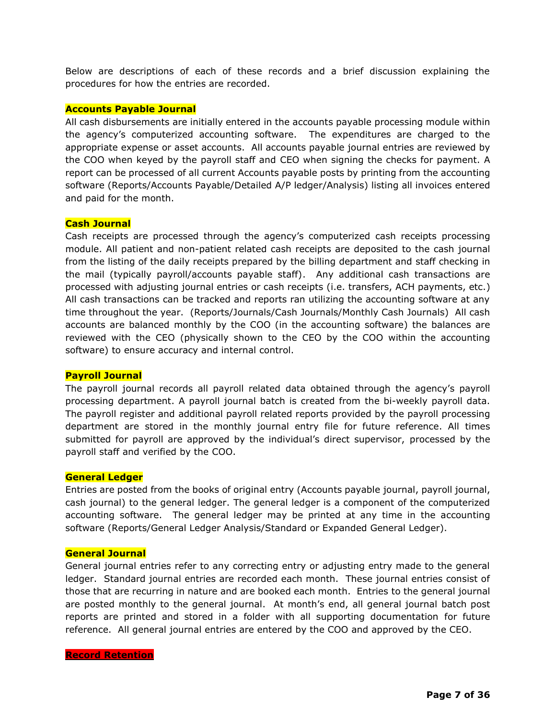Below are descriptions of each of these records and a brief discussion explaining the procedures for how the entries are recorded.

#### **Accounts Payable Journal**

All cash disbursements are initially entered in the accounts payable processing module within the agency's computerized accounting software. The expenditures are charged to the appropriate expense or asset accounts. All accounts payable journal entries are reviewed by the COO when keyed by the payroll staff and CEO when signing the checks for payment. A report can be processed of all current Accounts payable posts by printing from the accounting software (Reports/Accounts Payable/Detailed A/P ledger/Analysis) listing all invoices entered and paid for the month.

#### **Cash Journal**

Cash receipts are processed through the agency's computerized cash receipts processing module. All patient and non-patient related cash receipts are deposited to the cash journal from the listing of the daily receipts prepared by the billing department and staff checking in the mail (typically payroll/accounts payable staff). Any additional cash transactions are processed with adjusting journal entries or cash receipts (i.e. transfers, ACH payments, etc.) All cash transactions can be tracked and reports ran utilizing the accounting software at any time throughout the year. (Reports/Journals/Cash Journals/Monthly Cash Journals) All cash accounts are balanced monthly by the COO (in the accounting software) the balances are reviewed with the CEO (physically shown to the CEO by the COO within the accounting software) to ensure accuracy and internal control.

#### **Payroll Journal**

The payroll journal records all payroll related data obtained through the agency's payroll processing department. A payroll journal batch is created from the bi-weekly payroll data. The payroll register and additional payroll related reports provided by the payroll processing department are stored in the monthly journal entry file for future reference. All times submitted for payroll are approved by the individual's direct supervisor, processed by the payroll staff and verified by the COO.

#### **General Ledger**

Entries are posted from the books of original entry (Accounts payable journal, payroll journal, cash journal) to the general ledger. The general ledger is a component of the computerized accounting software. The general ledger may be printed at any time in the accounting software (Reports/General Ledger Analysis/Standard or Expanded General Ledger).

#### **General Journal**

General journal entries refer to any correcting entry or adjusting entry made to the general ledger. Standard journal entries are recorded each month. These journal entries consist of those that are recurring in nature and are booked each month. Entries to the general journal are posted monthly to the general journal. At month's end, all general journal batch post reports are printed and stored in a folder with all supporting documentation for future reference. All general journal entries are entered by the COO and approved by the CEO.

#### **Record Retention**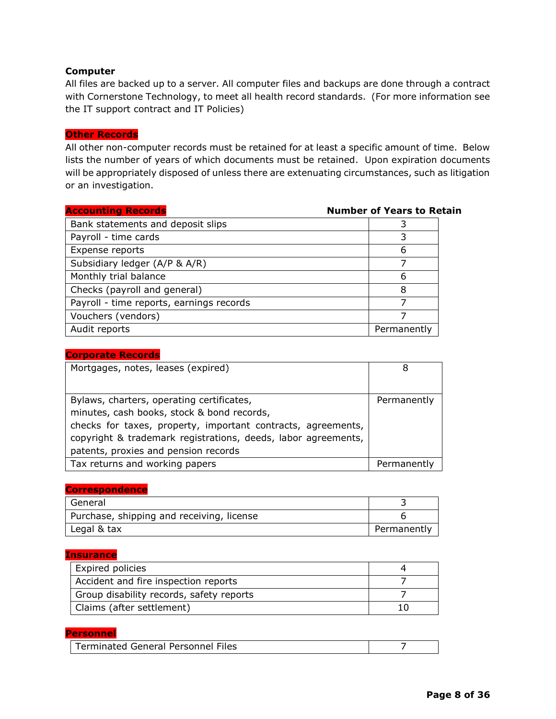#### **Computer**

All files are backed up to a server. All computer files and backups are done through a contract with Cornerstone Technology, to meet all health record standards. (For more information see the IT support contract and IT Policies)

#### **Other Records**

All other non-computer records must be retained for at least a specific amount of time. Below lists the number of years of which documents must be retained. Upon expiration documents will be appropriately disposed of unless there are extenuating circumstances, such as litigation or an investigation.

| <b>Accounting Records</b>                | <b>Number of Years to Retain</b> |
|------------------------------------------|----------------------------------|
| Bank statements and deposit slips        |                                  |
| Payroll - time cards                     |                                  |
| Expense reports                          | 6                                |
| Subsidiary ledger (A/P & A/R)            |                                  |
| Monthly trial balance                    | 6                                |
| Checks (payroll and general)             | 8                                |
| Payroll - time reports, earnings records |                                  |
| Vouchers (vendors)                       |                                  |
| Audit reports                            | Permanently                      |

| <b>Corporate Records</b>                                      |             |
|---------------------------------------------------------------|-------------|
| Mortgages, notes, leases (expired)                            | 8           |
|                                                               |             |
| Bylaws, charters, operating certificates,                     | Permanently |
| minutes, cash books, stock & bond records,                    |             |
| checks for taxes, property, important contracts, agreements,  |             |
| copyright & trademark registrations, deeds, labor agreements, |             |
| patents, proxies and pension records                          |             |
| Tax returns and working papers                                | Permanently |

#### **Correspondence**

| General                                   |             |
|-------------------------------------------|-------------|
| Purchase, shipping and receiving, license |             |
| Legal & tax                               | Permanently |

#### **Insurance**

| <b>Expired policies</b>                  |  |
|------------------------------------------|--|
| Accident and fire inspection reports     |  |
| Group disability records, safety reports |  |
| Claims (after settlement)                |  |

#### **Personnel**

| Terminated General Personnel Files |  |
|------------------------------------|--|
|                                    |  |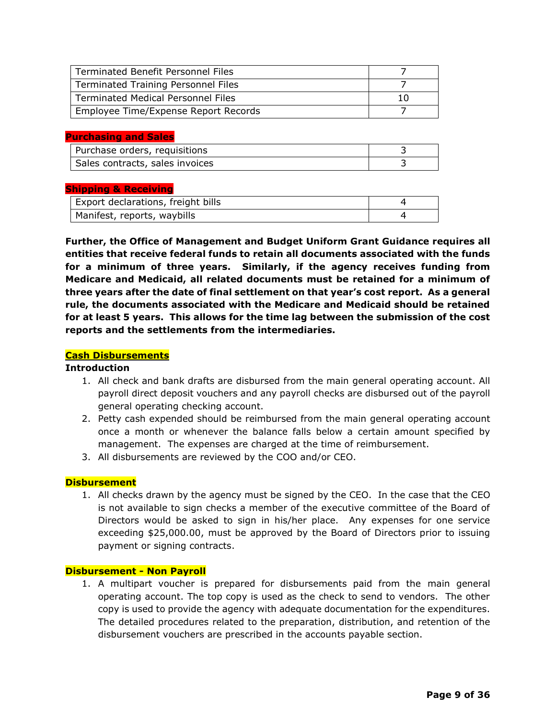| <b>Terminated Benefit Personnel Files</b>  |  |
|--------------------------------------------|--|
| <b>Terminated Training Personnel Files</b> |  |
| <b>Terminated Medical Personnel Files</b>  |  |
| Employee Time/Expense Report Records       |  |

#### **Purchasing and Sales**

| Purchase orders, requisitions   |  |
|---------------------------------|--|
| Sales contracts, sales invoices |  |

#### **Shipping & Receiving**

| Export declarations, freight bills |  |
|------------------------------------|--|
| Manifest, reports, waybills        |  |

**Further, the Office of Management and Budget Uniform Grant Guidance requires all entities that receive federal funds to retain all documents associated with the funds for a minimum of three years. Similarly, if the agency receives funding from Medicare and Medicaid, all related documents must be retained for a minimum of three years after the date of final settlement on that year's cost report. As a general rule, the documents associated with the Medicare and Medicaid should be retained for at least 5 years. This allows for the time lag between the submission of the cost reports and the settlements from the intermediaries.** 

#### **Cash Disbursements**

#### **Introduction**

- 1. All check and bank drafts are disbursed from the main general operating account. All payroll direct deposit vouchers and any payroll checks are disbursed out of the payroll general operating checking account.
- 2. Petty cash expended should be reimbursed from the main general operating account once a month or whenever the balance falls below a certain amount specified by management. The expenses are charged at the time of reimbursement.
- 3. All disbursements are reviewed by the COO and/or CEO.

#### **Disbursement**

1. All checks drawn by the agency must be signed by the CEO. In the case that the CEO is not available to sign checks a member of the executive committee of the Board of Directors would be asked to sign in his/her place. Any expenses for one service exceeding \$25,000.00, must be approved by the Board of Directors prior to issuing payment or signing contracts.

#### **Disbursement - Non Payroll**

1. A multipart voucher is prepared for disbursements paid from the main general operating account. The top copy is used as the check to send to vendors. The other copy is used to provide the agency with adequate documentation for the expenditures. The detailed procedures related to the preparation, distribution, and retention of the disbursement vouchers are prescribed in the accounts payable section.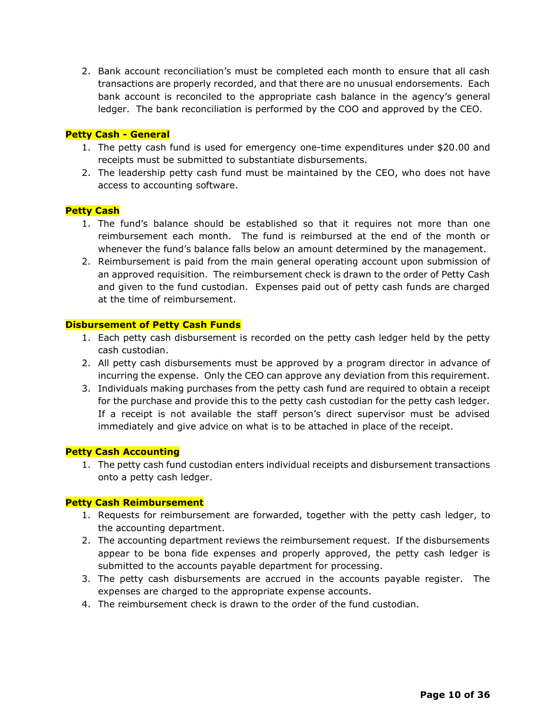2. Bank account reconciliation's must be completed each month to ensure that all cash transactions are properly recorded, and that there are no unusual endorsements. Each bank account is reconciled to the appropriate cash balance in the agency's general ledger. The bank reconciliation is performed by the COO and approved by the CEO.

#### **Petty Cash - General**

- 1. The petty cash fund is used for emergency one-time expenditures under \$20.00 and receipts must be submitted to substantiate disbursements.
- 2. The leadership petty cash fund must be maintained by the CEO, who does not have access to accounting software.

#### **Petty Cash**

- 1. The fund's balance should be established so that it requires not more than one reimbursement each month. The fund is reimbursed at the end of the month or whenever the fund's balance falls below an amount determined by the management.
- 2. Reimbursement is paid from the main general operating account upon submission of an approved requisition. The reimbursement check is drawn to the order of Petty Cash and given to the fund custodian. Expenses paid out of petty cash funds are charged at the time of reimbursement.

#### **Disbursement of Petty Cash Funds**

- 1. Each petty cash disbursement is recorded on the petty cash ledger held by the petty cash custodian.
- 2. All petty cash disbursements must be approved by a program director in advance of incurring the expense. Only the CEO can approve any deviation from this requirement.
- 3. Individuals making purchases from the petty cash fund are required to obtain a receipt for the purchase and provide this to the petty cash custodian for the petty cash ledger. If a receipt is not available the staff person's direct supervisor must be advised immediately and give advice on what is to be attached in place of the receipt.

#### **Petty Cash Accounting**

1. The petty cash fund custodian enters individual receipts and disbursement transactions onto a petty cash ledger.

#### **Petty Cash Reimbursement**

- 1. Requests for reimbursement are forwarded, together with the petty cash ledger, to the accounting department.
- 2. The accounting department reviews the reimbursement request. If the disbursements appear to be bona fide expenses and properly approved, the petty cash ledger is submitted to the accounts payable department for processing.
- 3. The petty cash disbursements are accrued in the accounts payable register. The expenses are charged to the appropriate expense accounts.
- 4. The reimbursement check is drawn to the order of the fund custodian.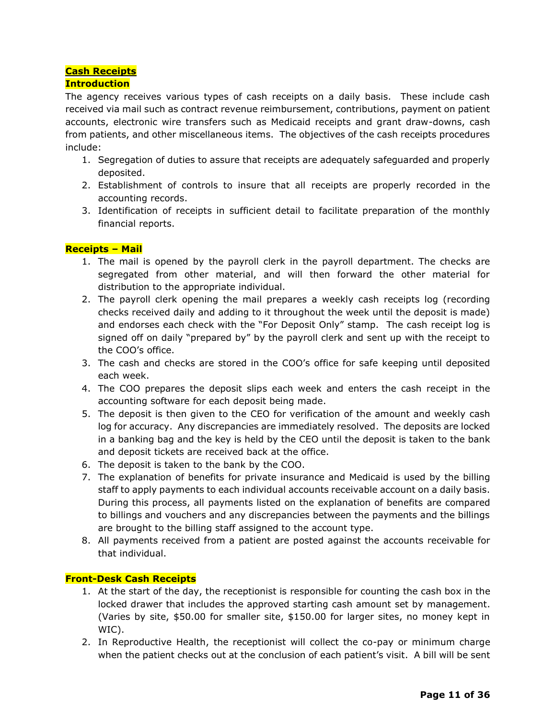#### **Cash Receipts**

#### **Introduction**

The agency receives various types of cash receipts on a daily basis. These include cash received via mail such as contract revenue reimbursement, contributions, payment on patient accounts, electronic wire transfers such as Medicaid receipts and grant draw-downs, cash from patients, and other miscellaneous items. The objectives of the cash receipts procedures include:

- 1. Segregation of duties to assure that receipts are adequately safeguarded and properly deposited.
- 2. Establishment of controls to insure that all receipts are properly recorded in the accounting records.
- 3. Identification of receipts in sufficient detail to facilitate preparation of the monthly financial reports.

#### **Receipts – Mail**

- 1. The mail is opened by the payroll clerk in the payroll department. The checks are segregated from other material, and will then forward the other material for distribution to the appropriate individual.
- 2. The payroll clerk opening the mail prepares a weekly cash receipts log (recording checks received daily and adding to it throughout the week until the deposit is made) and endorses each check with the "For Deposit Only" stamp. The cash receipt log is signed off on daily "prepared by" by the payroll clerk and sent up with the receipt to the COO's office.
- 3. The cash and checks are stored in the COO's office for safe keeping until deposited each week.
- 4. The COO prepares the deposit slips each week and enters the cash receipt in the accounting software for each deposit being made.
- 5. The deposit is then given to the CEO for verification of the amount and weekly cash log for accuracy. Any discrepancies are immediately resolved. The deposits are locked in a banking bag and the key is held by the CEO until the deposit is taken to the bank and deposit tickets are received back at the office.
- 6. The deposit is taken to the bank by the COO.
- 7. The explanation of benefits for private insurance and Medicaid is used by the billing staff to apply payments to each individual accounts receivable account on a daily basis. During this process, all payments listed on the explanation of benefits are compared to billings and vouchers and any discrepancies between the payments and the billings are brought to the billing staff assigned to the account type.
- 8. All payments received from a patient are posted against the accounts receivable for that individual.

#### **Front-Desk Cash Receipts**

- 1. At the start of the day, the receptionist is responsible for counting the cash box in the locked drawer that includes the approved starting cash amount set by management. (Varies by site, \$50.00 for smaller site, \$150.00 for larger sites, no money kept in WIC).
- 2. In Reproductive Health, the receptionist will collect the co-pay or minimum charge when the patient checks out at the conclusion of each patient's visit. A bill will be sent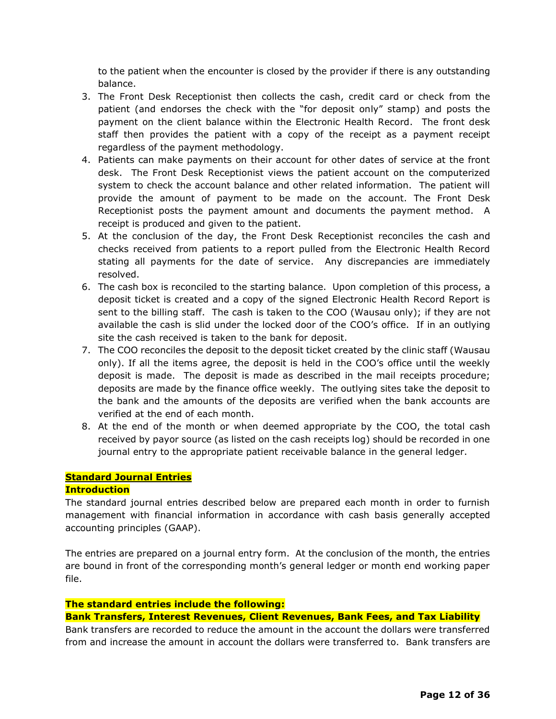to the patient when the encounter is closed by the provider if there is any outstanding balance.

- 3. The Front Desk Receptionist then collects the cash, credit card or check from the patient (and endorses the check with the "for deposit only" stamp) and posts the payment on the client balance within the Electronic Health Record. The front desk staff then provides the patient with a copy of the receipt as a payment receipt regardless of the payment methodology.
- 4. Patients can make payments on their account for other dates of service at the front desk. The Front Desk Receptionist views the patient account on the computerized system to check the account balance and other related information. The patient will provide the amount of payment to be made on the account. The Front Desk Receptionist posts the payment amount and documents the payment method. A receipt is produced and given to the patient.
- 5. At the conclusion of the day, the Front Desk Receptionist reconciles the cash and checks received from patients to a report pulled from the Electronic Health Record stating all payments for the date of service. Any discrepancies are immediately resolved.
- 6. The cash box is reconciled to the starting balance. Upon completion of this process, a deposit ticket is created and a copy of the signed Electronic Health Record Report is sent to the billing staff. The cash is taken to the COO (Wausau only); if they are not available the cash is slid under the locked door of the COO's office. If in an outlying site the cash received is taken to the bank for deposit.
- 7. The COO reconciles the deposit to the deposit ticket created by the clinic staff (Wausau only). If all the items agree, the deposit is held in the COO's office until the weekly deposit is made. The deposit is made as described in the mail receipts procedure; deposits are made by the finance office weekly. The outlying sites take the deposit to the bank and the amounts of the deposits are verified when the bank accounts are verified at the end of each month.
- 8. At the end of the month or when deemed appropriate by the COO, the total cash received by payor source (as listed on the cash receipts log) should be recorded in one journal entry to the appropriate patient receivable balance in the general ledger.

## **Standard Journal Entries**

#### **Introduction**

The standard journal entries described below are prepared each month in order to furnish management with financial information in accordance with cash basis generally accepted accounting principles (GAAP).

The entries are prepared on a journal entry form. At the conclusion of the month, the entries are bound in front of the corresponding month's general ledger or month end working paper file.

#### **The standard entries include the following:**

#### **Bank Transfers, Interest Revenues, Client Revenues, Bank Fees, and Tax Liability**

Bank transfers are recorded to reduce the amount in the account the dollars were transferred from and increase the amount in account the dollars were transferred to. Bank transfers are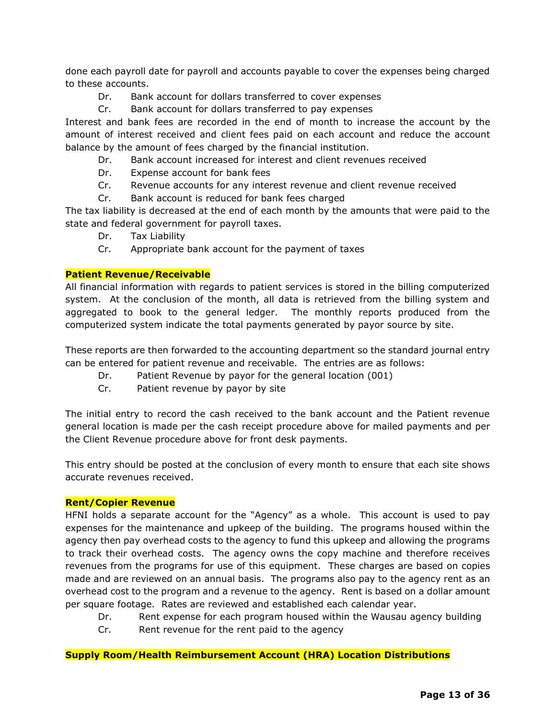done each payroll date for payroll and accounts payable to cover the expenses being charged to these accounts.

- Dr. Bank account for dollars transferred to cover expenses
- Cr. Bank account for dollars transferred to pay expenses

Interest and bank fees are recorded in the end of month to increase the account by the amount of interest received and client fees paid on each account and reduce the account balance by the amount of fees charged by the financial institution.

- Dr. Bank account increased for interest and client revenues received
- Dr. Expense account for bank fees
- Cr. Revenue accounts for any interest revenue and client revenue received
- Cr. Bank account is reduced for bank fees charged

The tax liability is decreased at the end of each month by the amounts that were paid to the state and federal government for payroll taxes.

- Dr. Tax Liability
- Cr. Appropriate bank account for the payment of taxes

#### **Patient Revenue/Receivable**

All financial information with regards to patient services is stored in the billing computerized system. At the conclusion of the month, all data is retrieved from the billing system and aggregated to book to the general ledger. The monthly reports produced from the computerized system indicate the total payments generated by payor source by site.

These reports are then forwarded to the accounting department so the standard journal entry can be entered for patient revenue and receivable. The entries are as follows:

- Dr. Patient Revenue by payor for the general location (001)
- Cr. Patient revenue by payor by site

The initial entry to record the cash received to the bank account and the Patient revenue general location is made per the cash receipt procedure above for mailed payments and per the Client Revenue procedure above for front desk payments.

This entry should be posted at the conclusion of every month to ensure that each site shows accurate revenues received.

#### **Rent/Copier Revenue**

HFNI holds a separate account for the "Agency" as a whole. This account is used to pay expenses for the maintenance and upkeep of the building. The programs housed within the agency then pay overhead costs to the agency to fund this upkeep and allowing the programs to track their overhead costs. The agency owns the copy machine and therefore receives revenues from the programs for use of this equipment. These charges are based on copies made and are reviewed on an annual basis. The programs also pay to the agency rent as an overhead cost to the program and a revenue to the agency. Rent is based on a dollar amount per square footage. Rates are reviewed and established each calendar year.

- Dr. Rent expense for each program housed within the Wausau agency building
- Cr. Rent revenue for the rent paid to the agency

#### **Supply Room/Health Reimbursement Account (HRA) Location Distributions**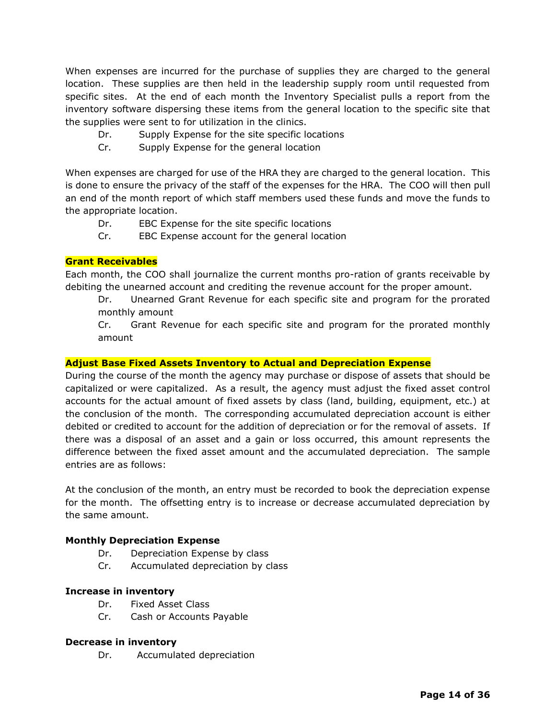When expenses are incurred for the purchase of supplies they are charged to the general location. These supplies are then held in the leadership supply room until requested from specific sites. At the end of each month the Inventory Specialist pulls a report from the inventory software dispersing these items from the general location to the specific site that the supplies were sent to for utilization in the clinics.

- Dr. Supply Expense for the site specific locations
- Cr. Supply Expense for the general location

When expenses are charged for use of the HRA they are charged to the general location. This is done to ensure the privacy of the staff of the expenses for the HRA. The COO will then pull an end of the month report of which staff members used these funds and move the funds to the appropriate location.

- Dr. EBC Expense for the site specific locations
- Cr. EBC Expense account for the general location

#### **Grant Receivables**

Each month, the COO shall journalize the current months pro-ration of grants receivable by debiting the unearned account and crediting the revenue account for the proper amount.

 Dr. Unearned Grant Revenue for each specific site and program for the prorated monthly amount

Cr. Grant Revenue for each specific site and program for the prorated monthly amount

#### **Adjust Base Fixed Assets Inventory to Actual and Depreciation Expense**

During the course of the month the agency may purchase or dispose of assets that should be capitalized or were capitalized. As a result, the agency must adjust the fixed asset control accounts for the actual amount of fixed assets by class (land, building, equipment, etc.) at the conclusion of the month. The corresponding accumulated depreciation account is either debited or credited to account for the addition of depreciation or for the removal of assets. If there was a disposal of an asset and a gain or loss occurred, this amount represents the difference between the fixed asset amount and the accumulated depreciation. The sample entries are as follows:

At the conclusion of the month, an entry must be recorded to book the depreciation expense for the month. The offsetting entry is to increase or decrease accumulated depreciation by the same amount.

#### **Monthly Depreciation Expense**

- Dr. Depreciation Expense by class
- Cr. Accumulated depreciation by class

#### **Increase in inventory**

- Dr. Fixed Asset Class
- Cr. Cash or Accounts Payable

#### **Decrease in inventory**

Dr. Accumulated depreciation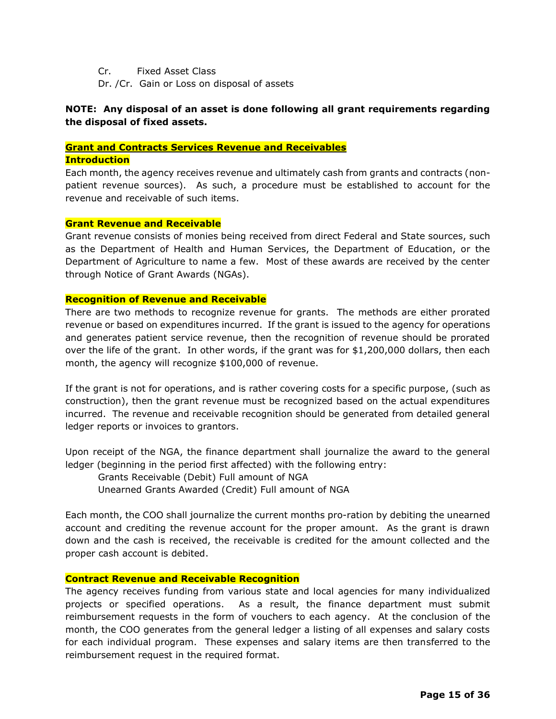Cr. Fixed Asset Class

Dr. /Cr. Gain or Loss on disposal of assets

#### **NOTE: Any disposal of an asset is done following all grant requirements regarding the disposal of fixed assets.**

#### **Grant and Contracts Services Revenue and Receivables**

#### **Introduction**

Each month, the agency receives revenue and ultimately cash from grants and contracts (nonpatient revenue sources). As such, a procedure must be established to account for the revenue and receivable of such items.

#### **Grant Revenue and Receivable**

Grant revenue consists of monies being received from direct Federal and State sources, such as the Department of Health and Human Services, the Department of Education, or the Department of Agriculture to name a few. Most of these awards are received by the center through Notice of Grant Awards (NGAs).

#### **Recognition of Revenue and Receivable**

There are two methods to recognize revenue for grants. The methods are either prorated revenue or based on expenditures incurred. If the grant is issued to the agency for operations and generates patient service revenue, then the recognition of revenue should be prorated over the life of the grant. In other words, if the grant was for \$1,200,000 dollars, then each month, the agency will recognize \$100,000 of revenue.

If the grant is not for operations, and is rather covering costs for a specific purpose, (such as construction), then the grant revenue must be recognized based on the actual expenditures incurred. The revenue and receivable recognition should be generated from detailed general ledger reports or invoices to grantors.

Upon receipt of the NGA, the finance department shall journalize the award to the general ledger (beginning in the period first affected) with the following entry:

Grants Receivable (Debit) Full amount of NGA

Unearned Grants Awarded (Credit) Full amount of NGA

Each month, the COO shall journalize the current months pro-ration by debiting the unearned account and crediting the revenue account for the proper amount. As the grant is drawn down and the cash is received, the receivable is credited for the amount collected and the proper cash account is debited.

#### **Contract Revenue and Receivable Recognition**

The agency receives funding from various state and local agencies for many individualized projects or specified operations. As a result, the finance department must submit reimbursement requests in the form of vouchers to each agency. At the conclusion of the month, the COO generates from the general ledger a listing of all expenses and salary costs for each individual program. These expenses and salary items are then transferred to the reimbursement request in the required format.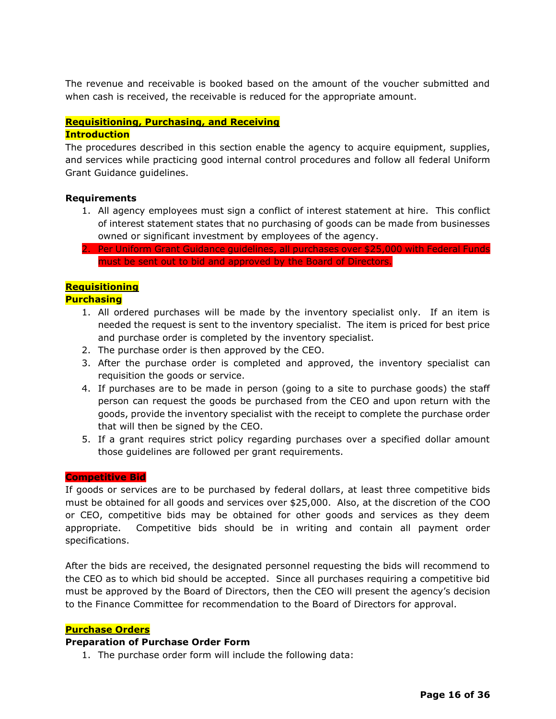The revenue and receivable is booked based on the amount of the voucher submitted and when cash is received, the receivable is reduced for the appropriate amount.

## **Requisitioning, Purchasing, and Receiving**

#### **Introduction**

The procedures described in this section enable the agency to acquire equipment, supplies, and services while practicing good internal control procedures and follow all federal Uniform Grant Guidance guidelines.

#### **Requirements**

- 1. All agency employees must sign a conflict of interest statement at hire. This conflict of interest statement states that no purchasing of goods can be made from businesses owned or significant investment by employees of the agency.
- 2. Per Uniform Grant Guidance guidelines, all purchases over \$25,000 with Federal Funds must be sent out to bid and approved by the Board of Directors.

## **Requisitioning**

#### **Purchasing**

- 1. All ordered purchases will be made by the inventory specialist only. If an item is needed the request is sent to the inventory specialist. The item is priced for best price and purchase order is completed by the inventory specialist.
- 2. The purchase order is then approved by the CEO.
- 3. After the purchase order is completed and approved, the inventory specialist can requisition the goods or service.
- 4. If purchases are to be made in person (going to a site to purchase goods) the staff person can request the goods be purchased from the CEO and upon return with the goods, provide the inventory specialist with the receipt to complete the purchase order that will then be signed by the CEO.
- 5. If a grant requires strict policy regarding purchases over a specified dollar amount those guidelines are followed per grant requirements.

#### **Competitive Bid**

If goods or services are to be purchased by federal dollars, at least three competitive bids must be obtained for all goods and services over \$25,000. Also, at the discretion of the COO or CEO, competitive bids may be obtained for other goods and services as they deem appropriate. Competitive bids should be in writing and contain all payment order specifications.

After the bids are received, the designated personnel requesting the bids will recommend to the CEO as to which bid should be accepted. Since all purchases requiring a competitive bid must be approved by the Board of Directors, then the CEO will present the agency's decision to the Finance Committee for recommendation to the Board of Directors for approval.

#### **Purchase Orders**

#### **Preparation of Purchase Order Form**

1. The purchase order form will include the following data: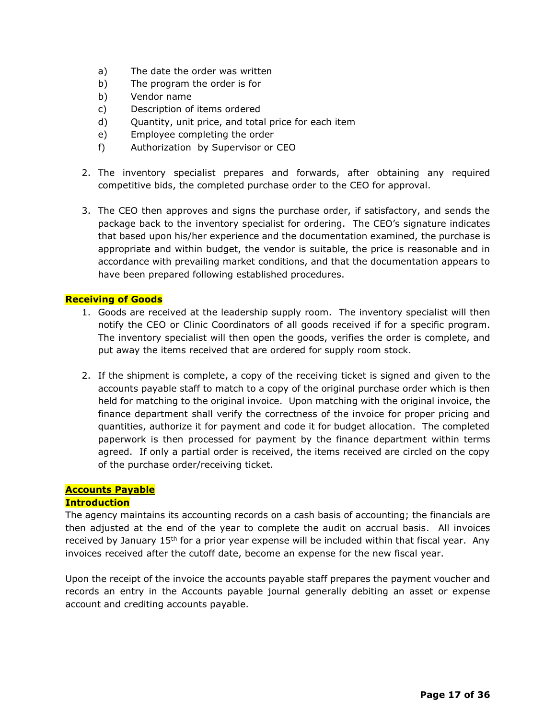- a) The date the order was written
- b) The program the order is for
- b) Vendor name
- c) Description of items ordered
- d) Quantity, unit price, and total price for each item
- e) Employee completing the order
- f) Authorization by Supervisor or CEO
- 2. The inventory specialist prepares and forwards, after obtaining any required competitive bids, the completed purchase order to the CEO for approval.
- 3. The CEO then approves and signs the purchase order, if satisfactory, and sends the package back to the inventory specialist for ordering. The CEO's signature indicates that based upon his/her experience and the documentation examined, the purchase is appropriate and within budget, the vendor is suitable, the price is reasonable and in accordance with prevailing market conditions, and that the documentation appears to have been prepared following established procedures.

#### **Receiving of Goods**

- 1. Goods are received at the leadership supply room. The inventory specialist will then notify the CEO or Clinic Coordinators of all goods received if for a specific program. The inventory specialist will then open the goods, verifies the order is complete, and put away the items received that are ordered for supply room stock.
- 2. If the shipment is complete, a copy of the receiving ticket is signed and given to the accounts payable staff to match to a copy of the original purchase order which is then held for matching to the original invoice. Upon matching with the original invoice, the finance department shall verify the correctness of the invoice for proper pricing and quantities, authorize it for payment and code it for budget allocation. The completed paperwork is then processed for payment by the finance department within terms agreed. If only a partial order is received, the items received are circled on the copy of the purchase order/receiving ticket.

#### **Accounts Payable**

#### **Introduction**

The agency maintains its accounting records on a cash basis of accounting; the financials are then adjusted at the end of the year to complete the audit on accrual basis. All invoices received by January 15<sup>th</sup> for a prior year expense will be included within that fiscal year. Any invoices received after the cutoff date, become an expense for the new fiscal year.

Upon the receipt of the invoice the accounts payable staff prepares the payment voucher and records an entry in the Accounts payable journal generally debiting an asset or expense account and crediting accounts payable.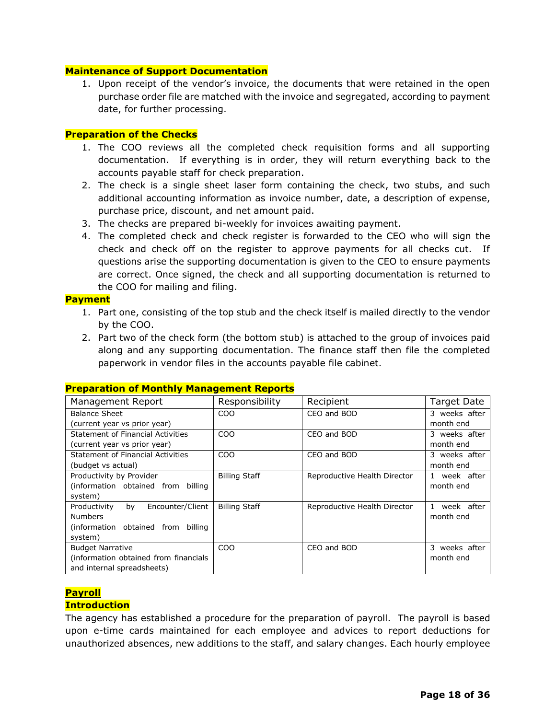#### **Maintenance of Support Documentation**

1. Upon receipt of the vendor's invoice, the documents that were retained in the open purchase order file are matched with the invoice and segregated, according to payment date, for further processing.

#### **Preparation of the Checks**

- 1. The COO reviews all the completed check requisition forms and all supporting documentation. If everything is in order, they will return everything back to the accounts payable staff for check preparation.
- 2. The check is a single sheet laser form containing the check, two stubs, and such additional accounting information as invoice number, date, a description of expense, purchase price, discount, and net amount paid.
- 3. The checks are prepared bi-weekly for invoices awaiting payment.
- 4. The completed check and check register is forwarded to the CEO who will sign the check and check off on the register to approve payments for all checks cut. If questions arise the supporting documentation is given to the CEO to ensure payments are correct. Once signed, the check and all supporting documentation is returned to the COO for mailing and filing.

#### **Payment**

- 1. Part one, consisting of the top stub and the check itself is mailed directly to the vendor by the COO.
- 2. Part two of the check form (the bottom stub) is attached to the group of invoices paid along and any supporting documentation. The finance staff then file the completed paperwork in vendor files in the accounts payable file cabinet.

| Management Report                      | Responsibility       | Recipient                    | Target Date      |
|----------------------------------------|----------------------|------------------------------|------------------|
| <b>Balance Sheet</b>                   | C <sub>O</sub> O     | CEO and BOD                  | 3 weeks after    |
| (current year vs prior year)           |                      |                              | month end        |
| Statement of Financial Activities      | CO <sub>O</sub>      | CEO and BOD                  | 3 weeks after    |
| (current year vs prior year)           |                      |                              | month end        |
| Statement of Financial Activities      | <b>COO</b>           | CEO and BOD                  | 3 weeks after    |
| (budget vs actual)                     |                      |                              | month end        |
| Productivity by Provider               | <b>Billing Staff</b> | Reproductive Health Director | 1 week after     |
| (information obtained from billing     |                      |                              | month end        |
| system)                                |                      |                              |                  |
| Encounter/Client<br>Productivity<br>by | <b>Billing Staff</b> | Reproductive Health Director | week after<br>1. |
| <b>Numbers</b>                         |                      |                              | month end        |
| (information obtained from billing     |                      |                              |                  |
| system)                                |                      |                              |                  |
| <b>Budget Narrative</b>                | <b>COO</b>           | CEO and BOD                  | 3 weeks after    |
| (information obtained from financials  |                      |                              | month end        |
| and internal spreadsheets)             |                      |                              |                  |

#### **Preparation of Monthly Management Reports**

#### **Payroll**

#### **Introduction**

The agency has established a procedure for the preparation of payroll. The payroll is based upon e-time cards maintained for each employee and advices to report deductions for unauthorized absences, new additions to the staff, and salary changes. Each hourly employee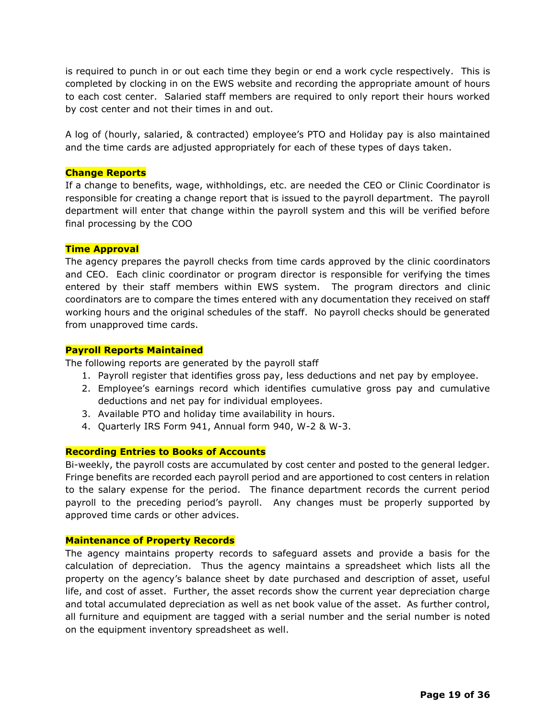is required to punch in or out each time they begin or end a work cycle respectively. This is completed by clocking in on the EWS website and recording the appropriate amount of hours to each cost center. Salaried staff members are required to only report their hours worked by cost center and not their times in and out.

A log of (hourly, salaried, & contracted) employee's PTO and Holiday pay is also maintained and the time cards are adjusted appropriately for each of these types of days taken.

#### **Change Reports**

If a change to benefits, wage, withholdings, etc. are needed the CEO or Clinic Coordinator is responsible for creating a change report that is issued to the payroll department. The payroll department will enter that change within the payroll system and this will be verified before final processing by the COO

#### **Time Approval**

The agency prepares the payroll checks from time cards approved by the clinic coordinators and CEO. Each clinic coordinator or program director is responsible for verifying the times entered by their staff members within EWS system. The program directors and clinic coordinators are to compare the times entered with any documentation they received on staff working hours and the original schedules of the staff. No payroll checks should be generated from unapproved time cards.

#### **Payroll Reports Maintained**

The following reports are generated by the payroll staff

- 1. Payroll register that identifies gross pay, less deductions and net pay by employee.
- 2. Employee's earnings record which identifies cumulative gross pay and cumulative deductions and net pay for individual employees.
- 3. Available PTO and holiday time availability in hours.
- 4. Quarterly IRS Form 941, Annual form 940, W-2 & W-3.

#### **Recording Entries to Books of Accounts**

Bi-weekly, the payroll costs are accumulated by cost center and posted to the general ledger. Fringe benefits are recorded each payroll period and are apportioned to cost centers in relation to the salary expense for the period. The finance department records the current period payroll to the preceding period's payroll. Any changes must be properly supported by approved time cards or other advices.

#### **Maintenance of Property Records**

The agency maintains property records to safeguard assets and provide a basis for the calculation of depreciation. Thus the agency maintains a spreadsheet which lists all the property on the agency's balance sheet by date purchased and description of asset, useful life, and cost of asset. Further, the asset records show the current year depreciation charge and total accumulated depreciation as well as net book value of the asset. As further control, all furniture and equipment are tagged with a serial number and the serial number is noted on the equipment inventory spreadsheet as well.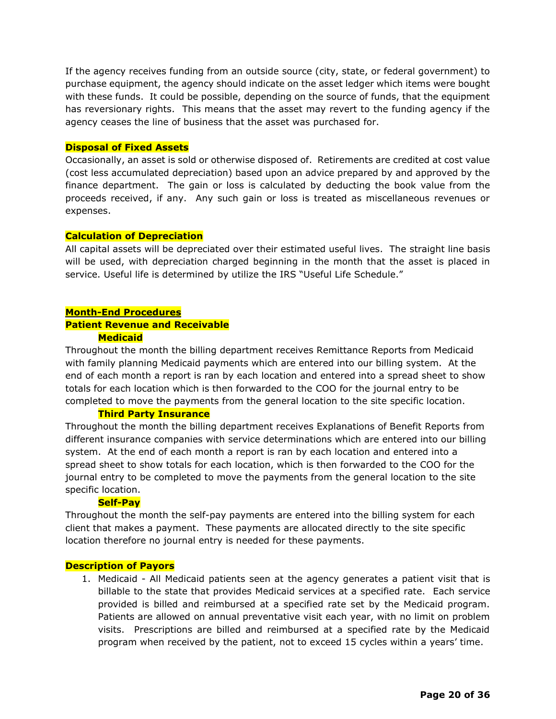If the agency receives funding from an outside source (city, state, or federal government) to purchase equipment, the agency should indicate on the asset ledger which items were bought with these funds. It could be possible, depending on the source of funds, that the equipment has reversionary rights. This means that the asset may revert to the funding agency if the agency ceases the line of business that the asset was purchased for.

#### **Disposal of Fixed Assets**

Occasionally, an asset is sold or otherwise disposed of. Retirements are credited at cost value (cost less accumulated depreciation) based upon an advice prepared by and approved by the finance department. The gain or loss is calculated by deducting the book value from the proceeds received, if any. Any such gain or loss is treated as miscellaneous revenues or expenses.

#### **Calculation of Depreciation**

All capital assets will be depreciated over their estimated useful lives. The straight line basis will be used, with depreciation charged beginning in the month that the asset is placed in service. Useful life is determined by utilize the IRS "Useful Life Schedule."

## **Month-End Procedures Patient Revenue and Receivable**

#### **Medicaid**

Throughout the month the billing department receives Remittance Reports from Medicaid with family planning Medicaid payments which are entered into our billing system. At the end of each month a report is ran by each location and entered into a spread sheet to show totals for each location which is then forwarded to the COO for the journal entry to be completed to move the payments from the general location to the site specific location.

#### **Third Party Insurance**

Throughout the month the billing department receives Explanations of Benefit Reports from different insurance companies with service determinations which are entered into our billing system. At the end of each month a report is ran by each location and entered into a spread sheet to show totals for each location, which is then forwarded to the COO for the journal entry to be completed to move the payments from the general location to the site specific location.

#### **Self-Pay**

Throughout the month the self-pay payments are entered into the billing system for each client that makes a payment. These payments are allocated directly to the site specific location therefore no journal entry is needed for these payments.

#### **Description of Payors**

1. Medicaid - All Medicaid patients seen at the agency generates a patient visit that is billable to the state that provides Medicaid services at a specified rate. Each service provided is billed and reimbursed at a specified rate set by the Medicaid program. Patients are allowed on annual preventative visit each year, with no limit on problem visits. Prescriptions are billed and reimbursed at a specified rate by the Medicaid program when received by the patient, not to exceed 15 cycles within a years' time.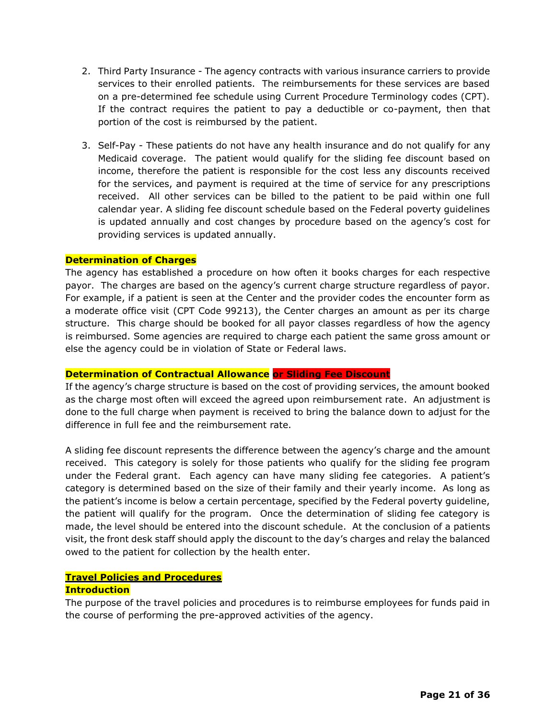- 2. Third Party Insurance The agency contracts with various insurance carriers to provide services to their enrolled patients. The reimbursements for these services are based on a pre-determined fee schedule using Current Procedure Terminology codes (CPT). If the contract requires the patient to pay a deductible or co-payment, then that portion of the cost is reimbursed by the patient.
- 3. Self-Pay These patients do not have any health insurance and do not qualify for any Medicaid coverage. The patient would qualify for the sliding fee discount based on income, therefore the patient is responsible for the cost less any discounts received for the services, and payment is required at the time of service for any prescriptions received. All other services can be billed to the patient to be paid within one full calendar year. A sliding fee discount schedule based on the Federal poverty guidelines is updated annually and cost changes by procedure based on the agency's cost for providing services is updated annually.

#### **Determination of Charges**

The agency has established a procedure on how often it books charges for each respective payor. The charges are based on the agency's current charge structure regardless of payor. For example, if a patient is seen at the Center and the provider codes the encounter form as a moderate office visit (CPT Code 99213), the Center charges an amount as per its charge structure. This charge should be booked for all payor classes regardless of how the agency is reimbursed. Some agencies are required to charge each patient the same gross amount or else the agency could be in violation of State or Federal laws.

#### **Determination of Contractual Allowance or Sliding Fee Discount**

If the agency's charge structure is based on the cost of providing services, the amount booked as the charge most often will exceed the agreed upon reimbursement rate. An adjustment is done to the full charge when payment is received to bring the balance down to adjust for the difference in full fee and the reimbursement rate.

A sliding fee discount represents the difference between the agency's charge and the amount received. This category is solely for those patients who qualify for the sliding fee program under the Federal grant. Each agency can have many sliding fee categories. A patient's category is determined based on the size of their family and their yearly income. As long as the patient's income is below a certain percentage, specified by the Federal poverty guideline, the patient will qualify for the program. Once the determination of sliding fee category is made, the level should be entered into the discount schedule. At the conclusion of a patients visit, the front desk staff should apply the discount to the day's charges and relay the balanced owed to the patient for collection by the health enter.

#### **Travel Policies and Procedures**

#### **Introduction**

The purpose of the travel policies and procedures is to reimburse employees for funds paid in the course of performing the pre-approved activities of the agency.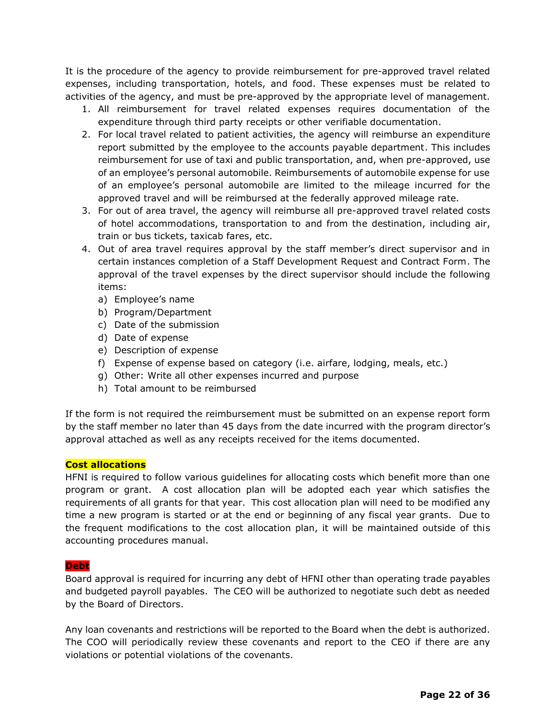It is the procedure of the agency to provide reimbursement for pre-approved travel related expenses, including transportation, hotels, and food. These expenses must be related to activities of the agency, and must be pre-approved by the appropriate level of management.

- 1. All reimbursement for travel related expenses requires documentation of the expenditure through third party receipts or other verifiable documentation.
- 2. For local travel related to patient activities, the agency will reimburse an expenditure report submitted by the employee to the accounts payable department. This includes reimbursement for use of taxi and public transportation, and, when pre-approved, use of an employee's personal automobile. Reimbursements of automobile expense for use of an employee's personal automobile are limited to the mileage incurred for the approved travel and will be reimbursed at the federally approved mileage rate.
- 3. For out of area travel, the agency will reimburse all pre-approved travel related costs of hotel accommodations, transportation to and from the destination, including air, train or bus tickets, taxicab fares, etc.
- 4. Out of area travel requires approval by the staff member's direct supervisor and in certain instances completion of a Staff Development Request and Contract Form. The approval of the travel expenses by the direct supervisor should include the following items:
	- a) Employee's name
	- b) Program/Department
	- c) Date of the submission
	- d) Date of expense
	- e) Description of expense
	- f) Expense of expense based on category (i.e. airfare, lodging, meals, etc.)
	- g) Other: Write all other expenses incurred and purpose
	- h) Total amount to be reimbursed

If the form is not required the reimbursement must be submitted on an expense report form by the staff member no later than 45 days from the date incurred with the program director's approval attached as well as any receipts received for the items documented.

#### **Cost allocations**

HFNI is required to follow various guidelines for allocating costs which benefit more than one program or grant. A cost allocation plan will be adopted each year which satisfies the requirements of all grants for that year. This cost allocation plan will need to be modified any time a new program is started or at the end or beginning of any fiscal year grants. Due to the frequent modifications to the cost allocation plan, it will be maintained outside of this accounting procedures manual.

#### **Debt**

Board approval is required for incurring any debt of HFNI other than operating trade payables and budgeted payroll payables. The CEO will be authorized to negotiate such debt as needed by the Board of Directors.

Any loan covenants and restrictions will be reported to the Board when the debt is authorized. The COO will periodically review these covenants and report to the CEO if there are any violations or potential violations of the covenants.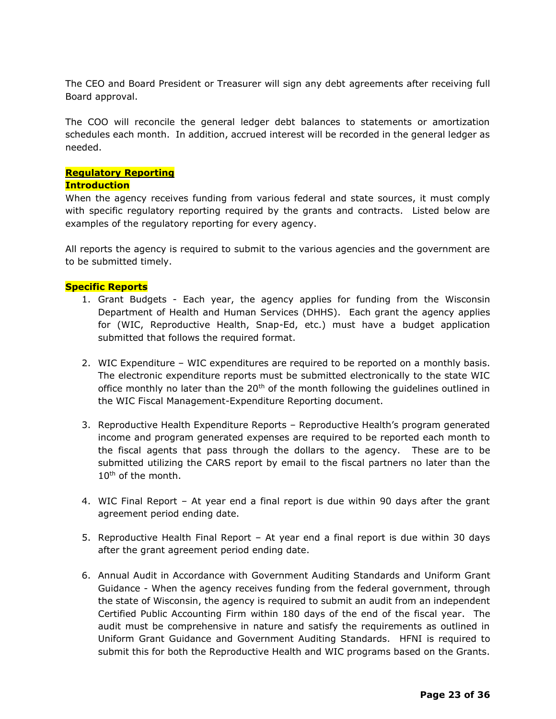The CEO and Board President or Treasurer will sign any debt agreements after receiving full Board approval.

The COO will reconcile the general ledger debt balances to statements or amortization schedules each month. In addition, accrued interest will be recorded in the general ledger as needed.

### **Regulatory Reporting**

#### **Introduction**

When the agency receives funding from various federal and state sources, it must comply with specific regulatory reporting required by the grants and contracts. Listed below are examples of the regulatory reporting for every agency.

All reports the agency is required to submit to the various agencies and the government are to be submitted timely.

#### **Specific Reports**

- 1. Grant Budgets Each year, the agency applies for funding from the Wisconsin Department of Health and Human Services (DHHS). Each grant the agency applies for (WIC, Reproductive Health, Snap-Ed, etc.) must have a budget application submitted that follows the required format.
- 2. WIC Expenditure WIC expenditures are required to be reported on a monthly basis. The electronic expenditure reports must be submitted electronically to the state WIC office monthly no later than the 20<sup>th</sup> of the month following the guidelines outlined in the WIC Fiscal Management-Expenditure Reporting document.
- 3. Reproductive Health Expenditure Reports Reproductive Health's program generated income and program generated expenses are required to be reported each month to the fiscal agents that pass through the dollars to the agency. These are to be submitted utilizing the CARS report by email to the fiscal partners no later than the 10th of the month.
- 4. WIC Final Report At year end a final report is due within 90 days after the grant agreement period ending date.
- 5. Reproductive Health Final Report At year end a final report is due within 30 days after the grant agreement period ending date.
- 6. Annual Audit in Accordance with Government Auditing Standards and Uniform Grant Guidance - When the agency receives funding from the federal government, through the state of Wisconsin, the agency is required to submit an audit from an independent Certified Public Accounting Firm within 180 days of the end of the fiscal year. The audit must be comprehensive in nature and satisfy the requirements as outlined in Uniform Grant Guidance and Government Auditing Standards. HFNI is required to submit this for both the Reproductive Health and WIC programs based on the Grants.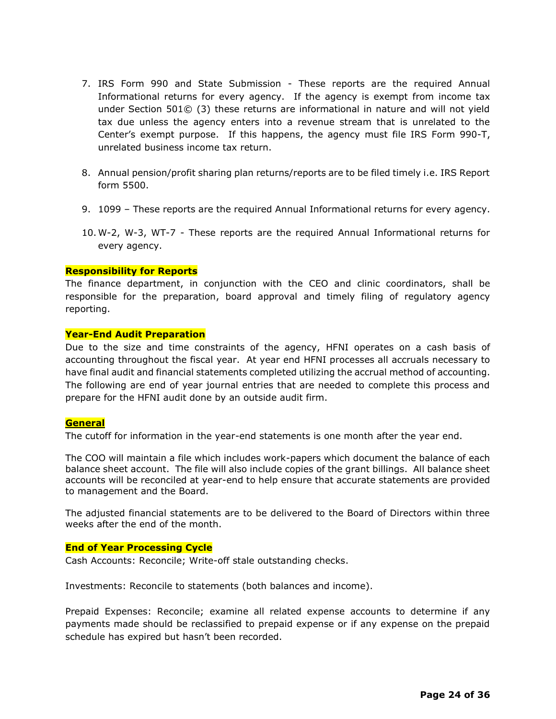- 7. IRS Form 990 and State Submission These reports are the required Annual Informational returns for every agency. If the agency is exempt from income tax under Section 501© (3) these returns are informational in nature and will not yield tax due unless the agency enters into a revenue stream that is unrelated to the Center's exempt purpose. If this happens, the agency must file IRS Form 990-T, unrelated business income tax return.
- 8. Annual pension/profit sharing plan returns/reports are to be filed timely i.e. IRS Report form 5500.
- 9. 1099 These reports are the required Annual Informational returns for every agency.
- 10. W-2, W-3, WT-7 These reports are the required Annual Informational returns for every agency.

#### **Responsibility for Reports**

The finance department, in conjunction with the CEO and clinic coordinators, shall be responsible for the preparation, board approval and timely filing of regulatory agency reporting.

#### **Year-End Audit Preparation**

Due to the size and time constraints of the agency, HFNI operates on a cash basis of accounting throughout the fiscal year. At year end HFNI processes all accruals necessary to have final audit and financial statements completed utilizing the accrual method of accounting. The following are end of year journal entries that are needed to complete this process and prepare for the HFNI audit done by an outside audit firm.

#### **General**

The cutoff for information in the year-end statements is one month after the year end.

The COO will maintain a file which includes work-papers which document the balance of each balance sheet account. The file will also include copies of the grant billings. All balance sheet accounts will be reconciled at year-end to help ensure that accurate statements are provided to management and the Board.

The adjusted financial statements are to be delivered to the Board of Directors within three weeks after the end of the month.

#### **End of Year Processing Cycle**

Cash Accounts: Reconcile; Write-off stale outstanding checks.

Investments: Reconcile to statements (both balances and income).

Prepaid Expenses: Reconcile; examine all related expense accounts to determine if any payments made should be reclassified to prepaid expense or if any expense on the prepaid schedule has expired but hasn't been recorded.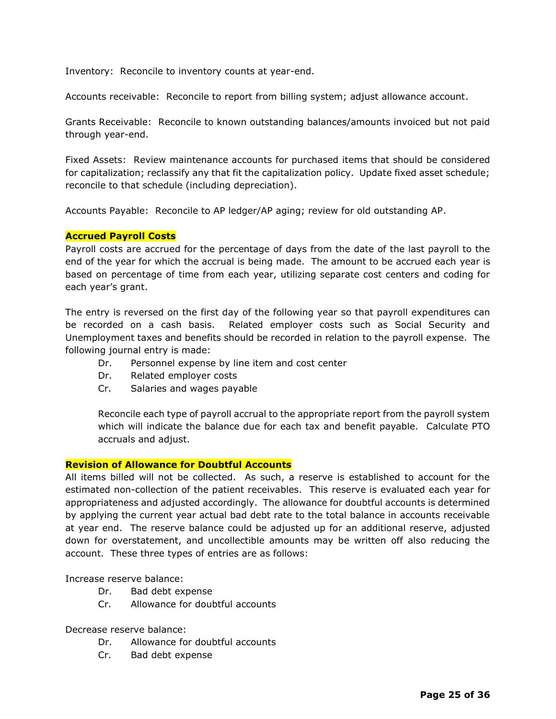Inventory: Reconcile to inventory counts at year-end.

Accounts receivable: Reconcile to report from billing system; adjust allowance account.

Grants Receivable: Reconcile to known outstanding balances/amounts invoiced but not paid through year-end.

Fixed Assets: Review maintenance accounts for purchased items that should be considered for capitalization; reclassify any that fit the capitalization policy. Update fixed asset schedule; reconcile to that schedule (including depreciation).

Accounts Payable: Reconcile to AP ledger/AP aging; review for old outstanding AP.

#### **Accrued Payroll Costs**

Payroll costs are accrued for the percentage of days from the date of the last payroll to the end of the year for which the accrual is being made. The amount to be accrued each year is based on percentage of time from each year, utilizing separate cost centers and coding for each year's grant.

The entry is reversed on the first day of the following year so that payroll expenditures can be recorded on a cash basis. Related employer costs such as Social Security and Unemployment taxes and benefits should be recorded in relation to the payroll expense. The following journal entry is made:

- Dr. Personnel expense by line item and cost center
- Dr. Related employer costs
- Cr. Salaries and wages payable

Reconcile each type of payroll accrual to the appropriate report from the payroll system which will indicate the balance due for each tax and benefit payable. Calculate PTO accruals and adjust.

#### **Revision of Allowance for Doubtful Accounts**

All items billed will not be collected. As such, a reserve is established to account for the estimated non-collection of the patient receivables. This reserve is evaluated each year for appropriateness and adjusted accordingly. The allowance for doubtful accounts is determined by applying the current year actual bad debt rate to the total balance in accounts receivable at year end. The reserve balance could be adjusted up for an additional reserve, adjusted down for overstatement, and uncollectible amounts may be written off also reducing the account. These three types of entries are as follows:

Increase reserve balance:

- Dr. Bad debt expense
- Cr. Allowance for doubtful accounts

Decrease reserve balance:

- Dr. Allowance for doubtful accounts
- Cr. Bad debt expense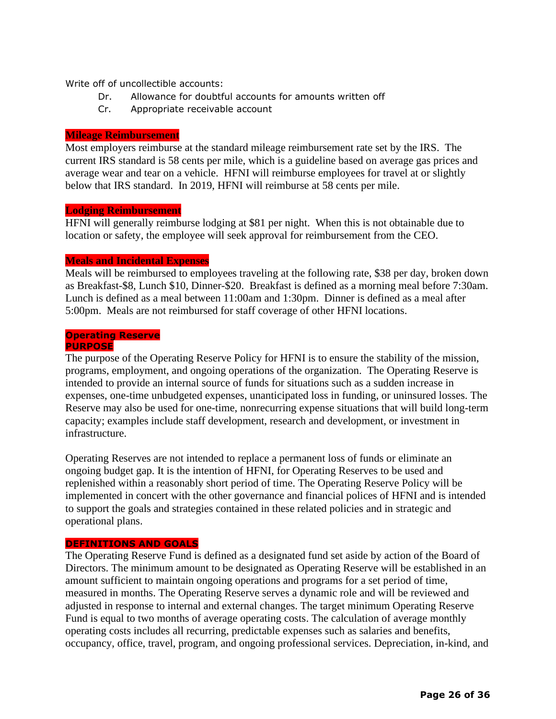Write off of uncollectible accounts:

- Dr. Allowance for doubtful accounts for amounts written off
- Cr. Appropriate receivable account

#### **Mileage Reimbursement**

Most employers reimburse at the standard mileage reimbursement rate set by the IRS. The current IRS standard is 58 cents per mile, which is a guideline based on average gas prices and average wear and tear on a vehicle. HFNI will reimburse employees for travel at or slightly below that IRS standard. In 2019, HFNI will reimburse at 58 cents per mile.

#### **Lodging Reimbursement**

HFNI will generally reimburse lodging at \$81 per night. When this is not obtainable due to location or safety, the employee will seek approval for reimbursement from the CEO.

#### **Meals and Incidental Expenses**

Meals will be reimbursed to employees traveling at the following rate, \$38 per day, broken down as Breakfast-\$8, Lunch \$10, Dinner-\$20. Breakfast is defined as a morning meal before 7:30am. Lunch is defined as a meal between 11:00am and 1:30pm. Dinner is defined as a meal after 5:00pm. Meals are not reimbursed for staff coverage of other HFNI locations.

#### **Operating Reserve PURPOSE**

The purpose of the Operating Reserve Policy for HFNI is to ensure the stability of the mission, programs, employment, and ongoing operations of the organization. The Operating Reserve is intended to provide an internal source of funds for situations such as a sudden increase in expenses, one-time unbudgeted expenses, unanticipated loss in funding, or uninsured losses. The Reserve may also be used for one-time, nonrecurring expense situations that will build long-term capacity; examples include staff development, research and development, or investment in infrastructure.

Operating Reserves are not intended to replace a permanent loss of funds or eliminate an ongoing budget gap. It is the intention of HFNI, for Operating Reserves to be used and replenished within a reasonably short period of time. The Operating Reserve Policy will be implemented in concert with the other governance and financial polices of HFNI and is intended to support the goals and strategies contained in these related policies and in strategic and operational plans.

#### **DEFINITIONS AND GOALS**

The Operating Reserve Fund is defined as a designated fund set aside by action of the Board of Directors. The minimum amount to be designated as Operating Reserve will be established in an amount sufficient to maintain ongoing operations and programs for a set period of time, measured in months. The Operating Reserve serves a dynamic role and will be reviewed and adjusted in response to internal and external changes. The target minimum Operating Reserve Fund is equal to two months of average operating costs. The calculation of average monthly operating costs includes all recurring, predictable expenses such as salaries and benefits, occupancy, office, travel, program, and ongoing professional services. Depreciation, in-kind, and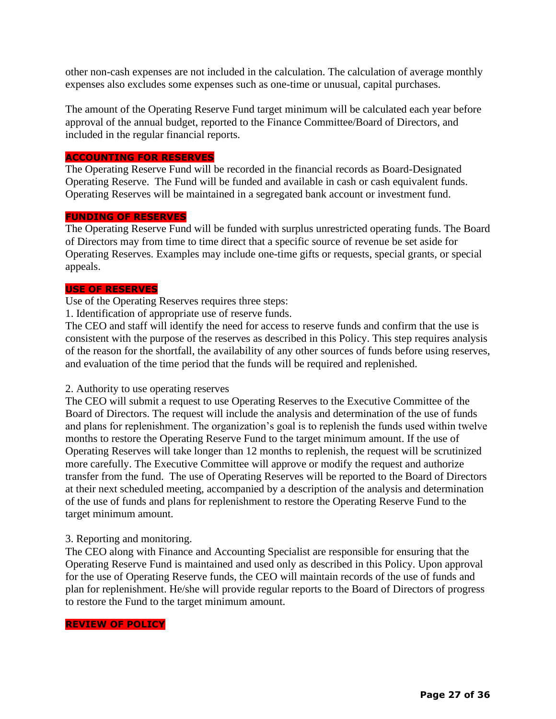other non-cash expenses are not included in the calculation. The calculation of average monthly expenses also excludes some expenses such as one-time or unusual, capital purchases.

The amount of the Operating Reserve Fund target minimum will be calculated each year before approval of the annual budget, reported to the Finance Committee/Board of Directors, and included in the regular financial reports.

#### **ACCOUNTING FOR RESERVES**

The Operating Reserve Fund will be recorded in the financial records as Board-Designated Operating Reserve. The Fund will be funded and available in cash or cash equivalent funds. Operating Reserves will be maintained in a segregated bank account or investment fund.

#### **FUNDING OF RESERVES**

The Operating Reserve Fund will be funded with surplus unrestricted operating funds. The Board of Directors may from time to time direct that a specific source of revenue be set aside for Operating Reserves. Examples may include one-time gifts or requests, special grants, or special appeals.

#### **USE OF RESERVES**

Use of the Operating Reserves requires three steps:

1. Identification of appropriate use of reserve funds.

The CEO and staff will identify the need for access to reserve funds and confirm that the use is consistent with the purpose of the reserves as described in this Policy. This step requires analysis of the reason for the shortfall, the availability of any other sources of funds before using reserves, and evaluation of the time period that the funds will be required and replenished.

#### 2. Authority to use operating reserves

The CEO will submit a request to use Operating Reserves to the Executive Committee of the Board of Directors. The request will include the analysis and determination of the use of funds and plans for replenishment. The organization's goal is to replenish the funds used within twelve months to restore the Operating Reserve Fund to the target minimum amount. If the use of Operating Reserves will take longer than 12 months to replenish, the request will be scrutinized more carefully. The Executive Committee will approve or modify the request and authorize transfer from the fund. The use of Operating Reserves will be reported to the Board of Directors at their next scheduled meeting, accompanied by a description of the analysis and determination of the use of funds and plans for replenishment to restore the Operating Reserve Fund to the target minimum amount.

#### 3. Reporting and monitoring.

The CEO along with Finance and Accounting Specialist are responsible for ensuring that the Operating Reserve Fund is maintained and used only as described in this Policy. Upon approval for the use of Operating Reserve funds, the CEO will maintain records of the use of funds and plan for replenishment. He/she will provide regular reports to the Board of Directors of progress to restore the Fund to the target minimum amount.

#### **REVIEW OF POLICY**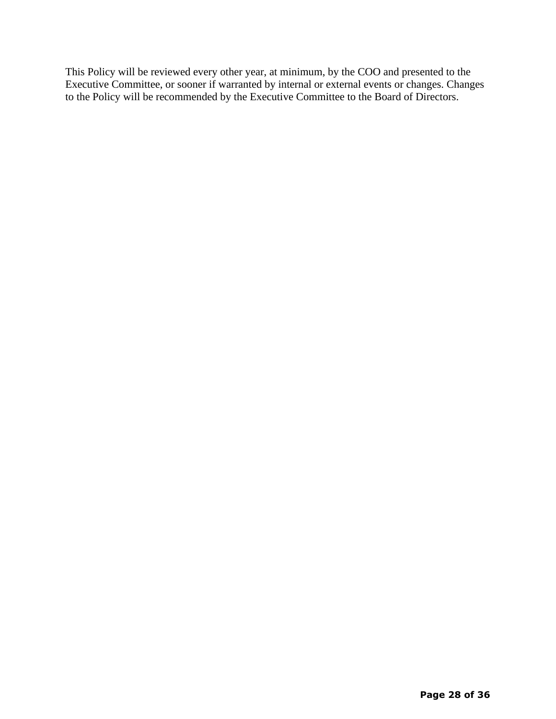This Policy will be reviewed every other year, at minimum, by the COO and presented to the Executive Committee, or sooner if warranted by internal or external events or changes. Changes to the Policy will be recommended by the Executive Committee to the Board of Directors.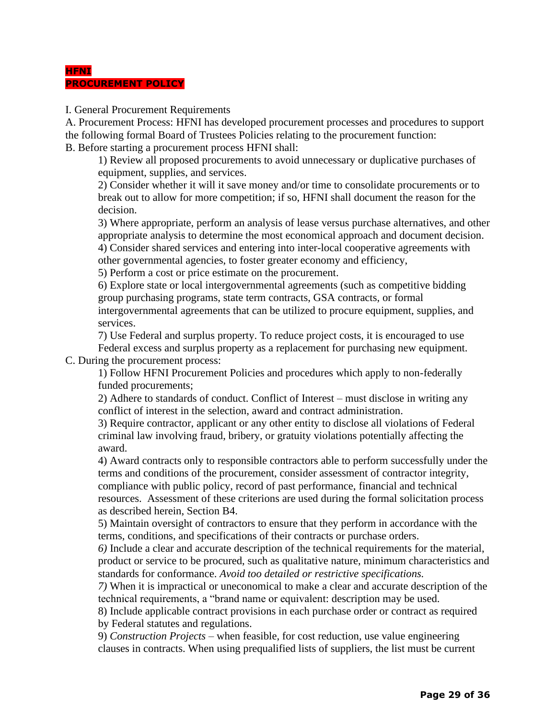#### **HFNI PROCUREMENT POLICY**

I. General Procurement Requirements

A. Procurement Process: HFNI has developed procurement processes and procedures to support the following formal Board of Trustees Policies relating to the procurement function: B. Before starting a procurement process HFNI shall:

1) Review all proposed procurements to avoid unnecessary or duplicative purchases of equipment, supplies, and services.

2) Consider whether it will it save money and/or time to consolidate procurements or to break out to allow for more competition; if so, HFNI shall document the reason for the decision.

3) Where appropriate, perform an analysis of lease versus purchase alternatives, and other appropriate analysis to determine the most economical approach and document decision. 4) Consider shared services and entering into inter-local cooperative agreements with

other governmental agencies, to foster greater economy and efficiency,

5) Perform a cost or price estimate on the procurement.

6) Explore state or local intergovernmental agreements (such as competitive bidding group purchasing programs, state term contracts, GSA contracts, or formal intergovernmental agreements that can be utilized to procure equipment, supplies, and services.

7) Use Federal and surplus property. To reduce project costs, it is encouraged to use Federal excess and surplus property as a replacement for purchasing new equipment.

C. During the procurement process:

1) Follow HFNI Procurement Policies and procedures which apply to non-federally funded procurements;

2) Adhere to standards of conduct. Conflict of Interest – must disclose in writing any conflict of interest in the selection, award and contract administration.

3) Require contractor, applicant or any other entity to disclose all violations of Federal criminal law involving fraud, bribery, or gratuity violations potentially affecting the award.

4) Award contracts only to responsible contractors able to perform successfully under the terms and conditions of the procurement, consider assessment of contractor integrity, compliance with public policy, record of past performance, financial and technical resources. Assessment of these criterions are used during the formal solicitation process as described herein, Section B4.

5) Maintain oversight of contractors to ensure that they perform in accordance with the terms, conditions, and specifications of their contracts or purchase orders.

*6)* Include a clear and accurate description of the technical requirements for the material, product or service to be procured, such as qualitative nature, minimum characteristics and standards for conformance. *Avoid too detailed or restrictive specifications.*

*7)* When it is impractical or uneconomical to make a clear and accurate description of the technical requirements, a "brand name or equivalent: description may be used.

8) Include applicable contract provisions in each purchase order or contract as required by Federal statutes and regulations.

9) *Construction Projects* – when feasible, for cost reduction, use value engineering clauses in contracts. When using prequalified lists of suppliers, the list must be current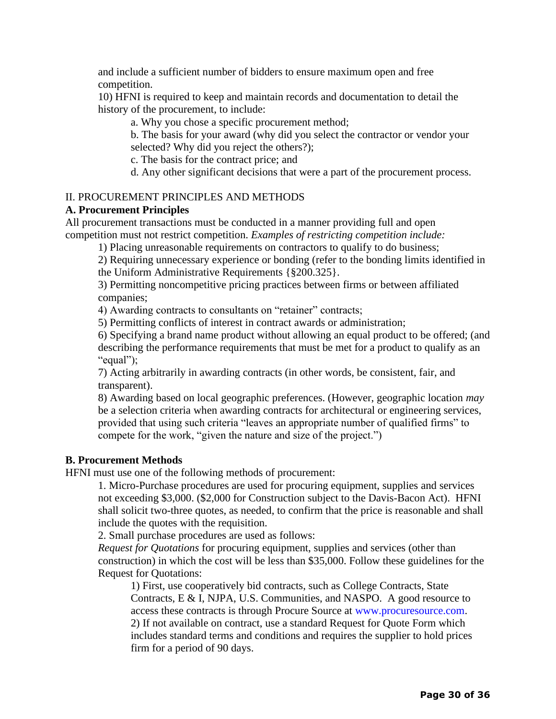and include a sufficient number of bidders to ensure maximum open and free competition.

10) HFNI is required to keep and maintain records and documentation to detail the history of the procurement, to include:

a. Why you chose a specific procurement method;

b. The basis for your award (why did you select the contractor or vendor your selected? Why did you reject the others?);

c. The basis for the contract price; and

d. Any other significant decisions that were a part of the procurement process.

#### II. PROCUREMENT PRINCIPLES AND METHODS

#### **A. Procurement Principles**

All procurement transactions must be conducted in a manner providing full and open competition must not restrict competition. *Examples of restricting competition include:*

1) Placing unreasonable requirements on contractors to qualify to do business;

2) Requiring unnecessary experience or bonding (refer to the bonding limits identified in the Uniform Administrative Requirements {§200.325}.

3) Permitting noncompetitive pricing practices between firms or between affiliated companies;

4) Awarding contracts to consultants on "retainer" contracts;

5) Permitting conflicts of interest in contract awards or administration;

6) Specifying a brand name product without allowing an equal product to be offered; (and describing the performance requirements that must be met for a product to qualify as an "equal");

7) Acting arbitrarily in awarding contracts (in other words, be consistent, fair, and transparent).

8) Awarding based on local geographic preferences. (However, geographic location *may*  be a selection criteria when awarding contracts for architectural or engineering services, provided that using such criteria "leaves an appropriate number of qualified firms" to compete for the work, "given the nature and size of the project.")

#### **B. Procurement Methods**

HFNI must use one of the following methods of procurement:

1. Micro-Purchase procedures are used for procuring equipment, supplies and services not exceeding \$3,000. (\$2,000 for Construction subject to the Davis-Bacon Act). HFNI shall solicit two-three quotes, as needed, to confirm that the price is reasonable and shall include the quotes with the requisition.

2. Small purchase procedures are used as follows:

*Request for Quotations* for procuring equipment, supplies and services (other than construction) in which the cost will be less than \$35,000. Follow these guidelines for the Request for Quotations:

1) First, use cooperatively bid contracts, such as College Contracts, State Contracts, E & I, NJPA, U.S. Communities, and NASPO. A good resource to access these contracts is through Procure Source at www.procuresource.com. 2) If not available on contract, use a standard Request for Quote Form which includes standard terms and conditions and requires the supplier to hold prices firm for a period of 90 days.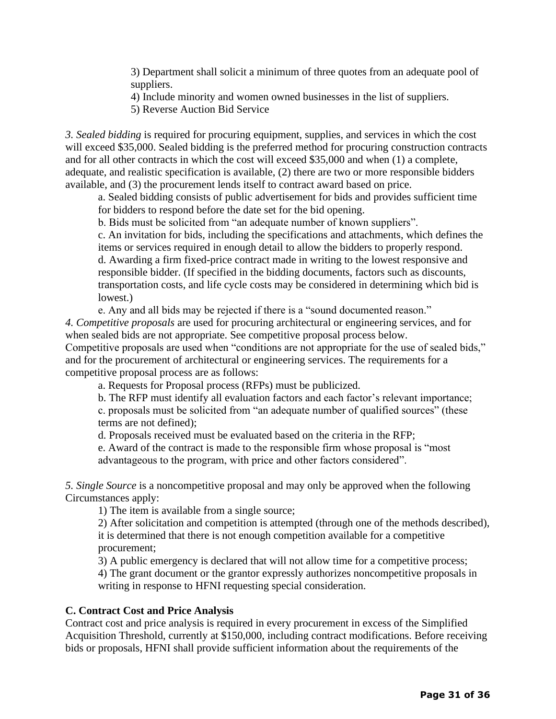3) Department shall solicit a minimum of three quotes from an adequate pool of suppliers.

4) Include minority and women owned businesses in the list of suppliers.

5) Reverse Auction Bid Service

*3. Sealed bidding* is required for procuring equipment, supplies, and services in which the cost will exceed \$35,000. Sealed bidding is the preferred method for procuring construction contracts and for all other contracts in which the cost will exceed \$35,000 and when (1) a complete, adequate, and realistic specification is available, (2) there are two or more responsible bidders available, and (3) the procurement lends itself to contract award based on price.

a. Sealed bidding consists of public advertisement for bids and provides sufficient time for bidders to respond before the date set for the bid opening.

b. Bids must be solicited from "an adequate number of known suppliers".

c. An invitation for bids, including the specifications and attachments, which defines the items or services required in enough detail to allow the bidders to properly respond. d. Awarding a firm fixed-price contract made in writing to the lowest responsive and responsible bidder. (If specified in the bidding documents, factors such as discounts, transportation costs, and life cycle costs may be considered in determining which bid is lowest.)

e. Any and all bids may be rejected if there is a "sound documented reason." *4. Competitive proposals* are used for procuring architectural or engineering services, and for when sealed bids are not appropriate. See competitive proposal process below. Competitive proposals are used when "conditions are not appropriate for the use of sealed bids," and for the procurement of architectural or engineering services. The requirements for a competitive proposal process are as follows:

a. Requests for Proposal process (RFPs) must be publicized.

b. The RFP must identify all evaluation factors and each factor's relevant importance;

c. proposals must be solicited from "an adequate number of qualified sources" (these terms are not defined);

d. Proposals received must be evaluated based on the criteria in the RFP;

e. Award of the contract is made to the responsible firm whose proposal is "most advantageous to the program, with price and other factors considered".

*5. Single Source* is a noncompetitive proposal and may only be approved when the following Circumstances apply:

1) The item is available from a single source;

2) After solicitation and competition is attempted (through one of the methods described), it is determined that there is not enough competition available for a competitive procurement;

3) A public emergency is declared that will not allow time for a competitive process; 4) The grant document or the grantor expressly authorizes noncompetitive proposals in writing in response to HFNI requesting special consideration.

#### **C. Contract Cost and Price Analysis**

Contract cost and price analysis is required in every procurement in excess of the Simplified Acquisition Threshold, currently at \$150,000, including contract modifications. Before receiving bids or proposals, HFNI shall provide sufficient information about the requirements of the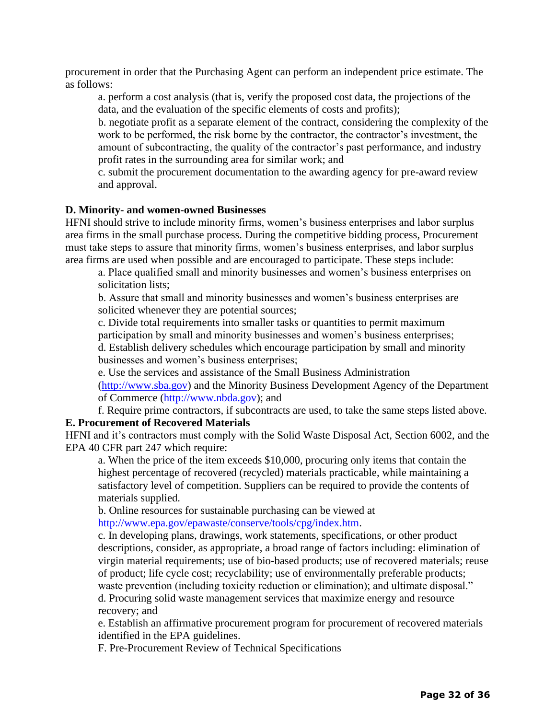procurement in order that the Purchasing Agent can perform an independent price estimate. The as follows:

a. perform a cost analysis (that is, verify the proposed cost data, the projections of the data, and the evaluation of the specific elements of costs and profits);

b. negotiate profit as a separate element of the contract, considering the complexity of the work to be performed, the risk borne by the contractor, the contractor's investment, the amount of subcontracting, the quality of the contractor's past performance, and industry profit rates in the surrounding area for similar work; and

c. submit the procurement documentation to the awarding agency for pre-award review and approval.

#### **D. Minority- and women-owned Businesses**

HFNI should strive to include minority firms, women's business enterprises and labor surplus area firms in the small purchase process. During the competitive bidding process, Procurement must take steps to assure that minority firms, women's business enterprises, and labor surplus area firms are used when possible and are encouraged to participate. These steps include:

a. Place qualified small and minority businesses and women's business enterprises on solicitation lists;

b. Assure that small and minority businesses and women's business enterprises are solicited whenever they are potential sources;

c. Divide total requirements into smaller tasks or quantities to permit maximum participation by small and minority businesses and women's business enterprises; d. Establish delivery schedules which encourage participation by small and minority

businesses and women's business enterprises;

e. Use the services and assistance of the Small Business Administration

[\(http://www.sba.gov\)](http://www.sba.gov/) and the Minority Business Development Agency of the Department of Commerce (http://www.nbda.gov); and

f. Require prime contractors, if subcontracts are used, to take the same steps listed above. **E. Procurement of Recovered Materials**

HFNI and it's contractors must comply with the Solid Waste Disposal Act, Section 6002, and the EPA 40 CFR part 247 which require:

a. When the price of the item exceeds \$10,000, procuring only items that contain the highest percentage of recovered (recycled) materials practicable, while maintaining a satisfactory level of competition. Suppliers can be required to provide the contents of materials supplied.

b. Online resources for sustainable purchasing can be viewed at http://www.epa.gov/epawaste/conserve/tools/cpg/index.htm.

c. In developing plans, drawings, work statements, specifications, or other product descriptions, consider, as appropriate, a broad range of factors including: elimination of virgin material requirements; use of bio-based products; use of recovered materials; reuse of product; life cycle cost; recyclability; use of environmentally preferable products; waste prevention (including toxicity reduction or elimination); and ultimate disposal." d. Procuring solid waste management services that maximize energy and resource recovery; and

e. Establish an affirmative procurement program for procurement of recovered materials identified in the EPA guidelines.

F. Pre-Procurement Review of Technical Specifications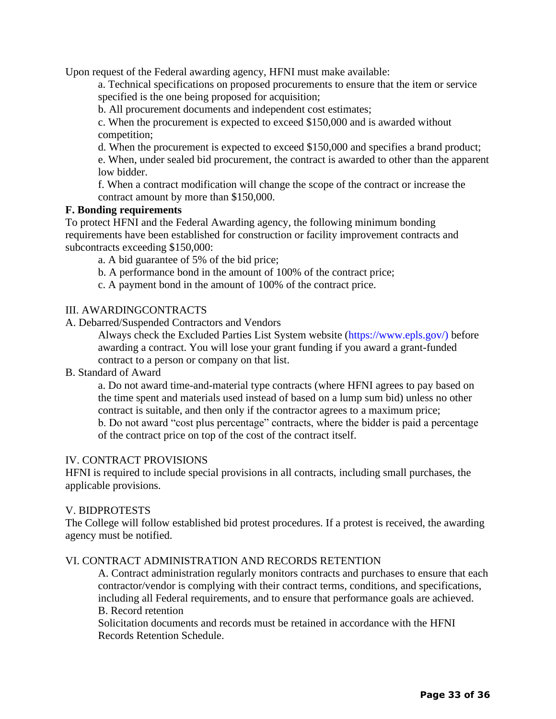Upon request of the Federal awarding agency, HFNI must make available:

a. Technical specifications on proposed procurements to ensure that the item or service specified is the one being proposed for acquisition;

b. All procurement documents and independent cost estimates;

c. When the procurement is expected to exceed \$150,000 and is awarded without competition;

d. When the procurement is expected to exceed \$150,000 and specifies a brand product;

e. When, under sealed bid procurement, the contract is awarded to other than the apparent low bidder.

f. When a contract modification will change the scope of the contract or increase the contract amount by more than \$150,000.

#### **F. Bonding requirements**

To protect HFNI and the Federal Awarding agency, the following minimum bonding requirements have been established for construction or facility improvement contracts and subcontracts exceeding \$150,000:

a. A bid guarantee of 5% of the bid price;

b. A performance bond in the amount of 100% of the contract price;

c. A payment bond in the amount of 100% of the contract price.

#### III. AWARDINGCONTRACTS

A. Debarred/Suspended Contractors and Vendors

Always check the Excluded Parties List System website (https://www.epls.gov/) before awarding a contract. You will lose your grant funding if you award a grant-funded contract to a person or company on that list.

#### B. Standard of Award

a. Do not award time-and-material type contracts (where HFNI agrees to pay based on the time spent and materials used instead of based on a lump sum bid) unless no other contract is suitable, and then only if the contractor agrees to a maximum price; b. Do not award "cost plus percentage" contracts, where the bidder is paid a percentage of the contract price on top of the cost of the contract itself.

#### IV. CONTRACT PROVISIONS

HFNI is required to include special provisions in all contracts, including small purchases, the applicable provisions.

#### V. BIDPROTESTS

The College will follow established bid protest procedures. If a protest is received, the awarding agency must be notified.

#### VI. CONTRACT ADMINISTRATION AND RECORDS RETENTION

A. Contract administration regularly monitors contracts and purchases to ensure that each contractor/vendor is complying with their contract terms, conditions, and specifications, including all Federal requirements, and to ensure that performance goals are achieved. B. Record retention

Solicitation documents and records must be retained in accordance with the HFNI Records Retention Schedule.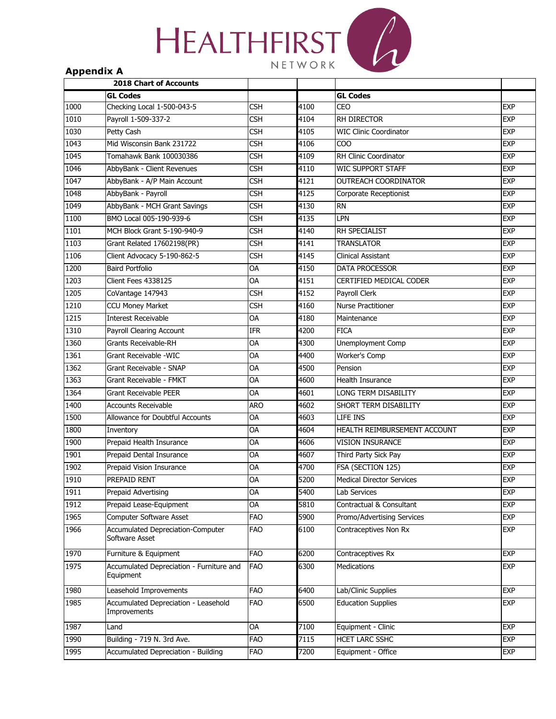# **HEALTHFIRST** NETWORK

#### **Appendix A**

|                  | <b>2018 Chart of Accounts</b>                              |                 |      |                                  |            |
|------------------|------------------------------------------------------------|-----------------|------|----------------------------------|------------|
|                  | <b>GL Codes</b>                                            |                 |      | <b>GL Codes</b>                  |            |
| 1000             | Checking Local 1-500-043-5                                 | <b>CSH</b>      | 4100 | CEO                              | <b>EXP</b> |
| 1010             | Payroll 1-509-337-2                                        | <b>CSH</b>      | 4104 | <b>RH DIRECTOR</b>               | <b>EXP</b> |
| 1030             | Petty Cash                                                 | <b>CSH</b>      | 4105 | <b>WIC Clinic Coordinator</b>    | <b>EXP</b> |
| 1043             | Mid Wisconsin Bank 231722                                  | <b>CSH</b>      | 4106 | COO                              | <b>EXP</b> |
| 1045             | Tomahawk Bank 100030386                                    | <b>CSH</b>      | 4109 | RH Clinic Coordinator            | <b>EXP</b> |
| 1046             | AbbyBank - Client Revenues                                 | <b>CSH</b>      | 4110 | WIC SUPPORT STAFF                | <b>EXP</b> |
| 1047             | AbbyBank - A/P Main Account                                | <b>CSH</b>      | 4121 | OUTREACH COORDINATOR             | <b>EXP</b> |
| 1048             | AbbyBank - Payroll                                         | <b>CSH</b>      | 4125 | Corporate Receptionist           | <b>EXP</b> |
| 1049             | AbbyBank - MCH Grant Savings                               | <b>CSH</b>      | 4130 | <b>RN</b>                        | <b>EXP</b> |
| 1100             | BMO Local 005-190-939-6                                    | <b>CSH</b>      | 4135 | LPN                              | <b>EXP</b> |
| 1101             | MCH Block Grant 5-190-940-9                                | <b>CSH</b>      | 4140 | RH SPECIALIST                    | <b>EXP</b> |
| 1103             | Grant Related 17602198(PR)                                 | <b>CSH</b>      | 4141 | <b>TRANSLATOR</b>                | <b>EXP</b> |
| 1106             | Client Advocacy 5-190-862-5                                | <b>CSH</b>      | 4145 | <b>Clinical Assistant</b>        | <b>EXP</b> |
| 1200             | <b>Baird Portfolio</b>                                     | OA              | 4150 | DATA PROCESSOR                   | <b>EXP</b> |
| 1203             | Client Fees 4338125                                        | OA              | 4151 | CERTIFIED MEDICAL CODER          | <b>EXP</b> |
| 1205             | CoVantage 147943                                           | CSH             | 4152 | Payroll Clerk                    | <b>EXP</b> |
| 1210             | <b>CCU Money Market</b>                                    | <b>CSH</b>      | 4160 | <b>Nurse Practitioner</b>        | <b>EXP</b> |
| $\frac{1215}{2}$ | <b>Interest Receivable</b>                                 | OA              | 4180 | Maintenance                      | <b>EXP</b> |
| 1310             | Payroll Clearing Account                                   | <b>IFR</b>      | 4200 | <b>FICA</b>                      | <b>EXP</b> |
| 1360             | <b>Grants Receivable-RH</b>                                | OA              | 4300 | Unemployment Comp                | <b>EXP</b> |
| 1361             | Grant Receivable -WIC                                      | OA              | 4400 | Worker's Comp                    | <b>EXP</b> |
| 1362             | Grant Receivable - SNAP                                    | OA              | 4500 | Pension                          | <b>EXP</b> |
| 1363             | Grant Receivable - FMKT                                    | OA              | 4600 | <b>Health Insurance</b>          | <b>EXP</b> |
| 1364             | <b>Grant Receivable PEER</b>                               | OA              | 4601 | LONG TERM DISABILITY             | <b>EXP</b> |
| 1400             | <b>Accounts Receivable</b>                                 | <b>ARO</b>      | 4602 | SHORT TERM DISABILITY            | <b>EXP</b> |
| 1500             | Allowance for Doubtful Accounts                            | OA              | 4603 | LIFE INS                         | <b>EXP</b> |
| 1800             | Inventory                                                  | OA              | 4604 | HEALTH REIMBURSEMENT ACCOUNT     | <b>EXP</b> |
| 1900             | Prepaid Health Insurance                                   | OA              | 4606 | <b>VISION INSURANCE</b>          | <b>EXP</b> |
| 1901             | Prepaid Dental Insurance                                   | OA              | 4607 | Third Party Sick Pay             | <b>EXP</b> |
| 1902             | Prepaid Vision Insurance                                   | OA              | 4700 | FSA (SECTION 125)                | <b>EXP</b> |
| 1910             | PREPAID RENT                                               | OA              | 5200 | <b>Medical Director Services</b> | <b>EXP</b> |
| 1911             | <b>Prepaid Advertising</b>                                 | <b>OA</b>       | 5400 | Lab Services                     | <b>EXP</b> |
| 1912             | Prepaid Lease-Equipment                                    | $\overline{OA}$ | 5810 | Contractual & Consultant         | <b>EXP</b> |
| 1965             | Computer Software Asset                                    | <b>FAO</b>      | 5900 | Promo/Advertising Services       | <b>EXP</b> |
| 1966             | <b>Accumulated Depreciation-Computer</b><br>Software Asset | <b>FAO</b>      | 6100 | Contraceptives Non Rx            | <b>EXP</b> |
| 1970             | Furniture & Equipment                                      | <b>FAO</b>      | 6200 | Contraceptives Rx                | <b>EXP</b> |
| 1975             | Accumulated Depreciation - Furniture and<br>Equipment      | <b>FAO</b>      | 6300 | <b>Medications</b>               | <b>EXP</b> |
| 1980             | Leasehold Improvements                                     | <b>FAO</b>      | 6400 | Lab/Clinic Supplies              | <b>EXP</b> |
| 1985             | Accumulated Depreciation - Leasehold<br>Improvements       | <b>FAO</b>      | 6500 | <b>Education Supplies</b>        | <b>EXP</b> |
| 1987             | Land                                                       | OA              | 7100 | Equipment - Clinic               | <b>EXP</b> |
| 1990             | Building - 719 N. 3rd Ave.                                 | <b>FAO</b>      | 7115 | HCET LARC SSHC                   | <b>EXP</b> |
| 1995             | Accumulated Depreciation - Building                        | <b>FAO</b>      | 7200 | Equipment - Office               | <b>EXP</b> |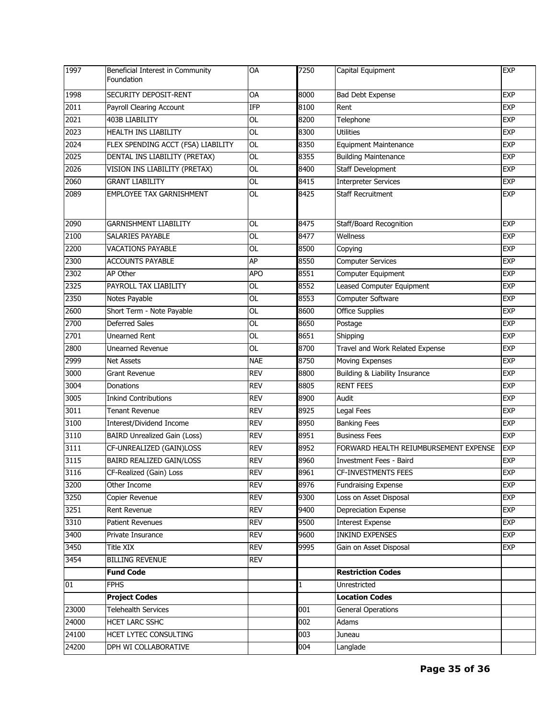| 1997  | Beneficial Interest in Community<br>Foundation | <b>OA</b>  | 7250 | Capital Equipment                     | <b>EXP</b> |
|-------|------------------------------------------------|------------|------|---------------------------------------|------------|
| 1998  | SECURITY DEPOSIT-RENT                          | OA         | 8000 | Bad Debt Expense                      | <b>EXP</b> |
| 2011  | Payroll Clearing Account                       | IFP        | 8100 | Rent                                  | <b>EXP</b> |
| 2021  | 403B LIABILITY                                 | OL         | 8200 | Telephone                             | <b>EXP</b> |
| 2023  | <b>HEALTH INS LIABILITY</b>                    | <b>OL</b>  | 8300 | <b>Utilities</b>                      | <b>EXP</b> |
| 2024  | FLEX SPENDING ACCT (FSA) LIABILITY             | <b>OL</b>  | 8350 | <b>Equipment Maintenance</b>          | <b>EXP</b> |
| 2025  | DENTAL INS LIABILITY (PRETAX)                  | OL         | 8355 | <b>Building Maintenance</b>           | <b>EXP</b> |
| 2026  | VISION INS LIABILITY (PRETAX)                  | <b>OL</b>  | 8400 | Staff Development                     | <b>EXP</b> |
| 2060  | <b>GRANT LIABILITY</b>                         | <b>OL</b>  | 8415 | <b>Interpreter Services</b>           | <b>EXP</b> |
| 2089  | <b>EMPLOYEE TAX GARNISHMENT</b>                | <b>OL</b>  | 8425 | <b>Staff Recruitment</b>              | <b>EXP</b> |
| 2090  | <b>GARNISHMENT LIABILITY</b>                   | <b>OL</b>  | 8475 | Staff/Board Recognition               | <b>EXP</b> |
| 2100  | SALARIES PAYABLE                               | <b>OL</b>  | 8477 | Wellness                              | <b>EXP</b> |
| 2200  | VACATIONS PAYABLE                              | <b>OL</b>  | 8500 | Copying                               | <b>EXP</b> |
| 2300  | <b>ACCOUNTS PAYABLE</b>                        | AP         | 8550 | <b>Computer Services</b>              | <b>EXP</b> |
| 2302  | AP Other                                       | <b>APO</b> | 8551 | Computer Equipment                    | <b>EXP</b> |
| 2325  | PAYROLL TAX LIABILITY                          | <b>OL</b>  | 8552 | <b>Leased Computer Equipment</b>      | <b>EXP</b> |
| 2350  | Notes Payable                                  | OL         | 8553 | Computer Software                     | <b>EXP</b> |
| 2600  | Short Term - Note Payable                      | <b>OL</b>  | 8600 | <b>Office Supplies</b>                | <b>EXP</b> |
| 2700  | Deferred Sales                                 | OL         | 8650 | Postage                               | <b>EXP</b> |
| 2701  | <b>Unearned Rent</b>                           | <b>OL</b>  | 8651 | Shipping                              | <b>EXP</b> |
| 2800  | <b>Unearned Revenue</b>                        | <b>OL</b>  | 8700 | Travel and Work Related Expense       | <b>EXP</b> |
| 2999  | <b>Net Assets</b>                              | <b>NAE</b> | 8750 | <b>Moving Expenses</b>                | <b>EXP</b> |
| 3000  | <b>Grant Revenue</b>                           | <b>REV</b> | 8800 | Building & Liability Insurance        | <b>EXP</b> |
| 3004  | Donations                                      | <b>REV</b> | 8805 | <b>RENT FEES</b>                      | <b>EXP</b> |
| 3005  | <b>Inkind Contributions</b>                    | <b>REV</b> | 8900 | Audit                                 | <b>EXP</b> |
| 3011  | <b>Tenant Revenue</b>                          | <b>REV</b> | 8925 | Legal Fees                            | <b>EXP</b> |
| 3100  | Interest/Dividend Income                       | <b>REV</b> | 8950 | <b>Banking Fees</b>                   | <b>EXP</b> |
| 3110  | <b>BAIRD Unrealized Gain (Loss)</b>            | <b>REV</b> | 8951 | <b>Business Fees</b>                  | <b>EXP</b> |
| 3111  | CF-UNREALIZED (GAIN)LOSS                       | <b>REV</b> | 8952 | FORWARD HEALTH REIUMBURSEMENT EXPENSE | <b>EXP</b> |
| 3115  | <b>BAIRD REALIZED GAIN/LOSS</b>                | <b>REV</b> | 8960 | Investment Fees - Baird               | <b>EXP</b> |
| 3116  | CF-Realized (Gain) Loss                        | <b>REV</b> | 8961 | <b>CF-INVESTMENTS FEES</b>            | <b>EXP</b> |
| 3200  | Other Income                                   | <b>REV</b> | 8976 | <b>Fundraising Expense</b>            | <b>EXP</b> |
| 3250  | Copier Revenue                                 | <b>REV</b> | 9300 | Loss on Asset Disposal                | <b>EXP</b> |
| 3251  | Rent Revenue                                   | <b>REV</b> | 9400 | Depreciation Expense                  | EXP        |
| 3310  | <b>Patient Revenues</b>                        | <b>REV</b> | 9500 | <b>Interest Expense</b>               | <b>EXP</b> |
| 3400  | Private Insurance                              | <b>REV</b> | 9600 | <b>INKIND EXPENSES</b>                | <b>EXP</b> |
| 3450  | Title XIX                                      | <b>REV</b> | 9995 | Gain on Asset Disposal                | EXP        |
| 3454  | <b>BILLING REVENUE</b>                         | <b>REV</b> |      |                                       |            |
|       | <b>Fund Code</b>                               |            |      | <b>Restriction Codes</b>              |            |
| 01    | <b>FPHS</b>                                    |            | 1    | Unrestricted                          |            |
|       | <b>Project Codes</b>                           |            |      | <b>Location Codes</b>                 |            |
| 23000 | <b>Telehealth Services</b>                     |            | 001  | <b>General Operations</b>             |            |
| 24000 | HCET LARC SSHC                                 |            | 002  | Adams                                 |            |
| 24100 | HCET LYTEC CONSULTING                          |            | 003  | Juneau                                |            |
| 24200 | DPH WI COLLABORATIVE                           |            | 004  | Langlade                              |            |